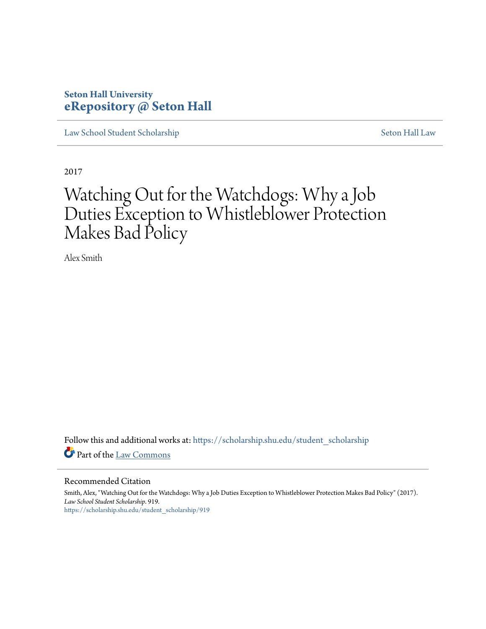# **Seton Hall University [eRepository @ Seton Hall](https://scholarship.shu.edu?utm_source=scholarship.shu.edu%2Fstudent_scholarship%2F919&utm_medium=PDF&utm_campaign=PDFCoverPages)**

[Law School Student Scholarship](https://scholarship.shu.edu/student_scholarship?utm_source=scholarship.shu.edu%2Fstudent_scholarship%2F919&utm_medium=PDF&utm_campaign=PDFCoverPages) [Seton Hall Law](https://scholarship.shu.edu/law?utm_source=scholarship.shu.edu%2Fstudent_scholarship%2F919&utm_medium=PDF&utm_campaign=PDFCoverPages)

2017

# Watching Out for the Watchdogs: Why a Job Duties Exception to Whistleblower Protection Makes Bad Policy

Alex Smith

Follow this and additional works at: [https://scholarship.shu.edu/student\\_scholarship](https://scholarship.shu.edu/student_scholarship?utm_source=scholarship.shu.edu%2Fstudent_scholarship%2F919&utm_medium=PDF&utm_campaign=PDFCoverPages) Part of the [Law Commons](http://network.bepress.com/hgg/discipline/578?utm_source=scholarship.shu.edu%2Fstudent_scholarship%2F919&utm_medium=PDF&utm_campaign=PDFCoverPages)

#### Recommended Citation

Smith, Alex, "Watching Out for the Watchdogs: Why a Job Duties Exception to Whistleblower Protection Makes Bad Policy" (2017). *Law School Student Scholarship*. 919. [https://scholarship.shu.edu/student\\_scholarship/919](https://scholarship.shu.edu/student_scholarship/919?utm_source=scholarship.shu.edu%2Fstudent_scholarship%2F919&utm_medium=PDF&utm_campaign=PDFCoverPages)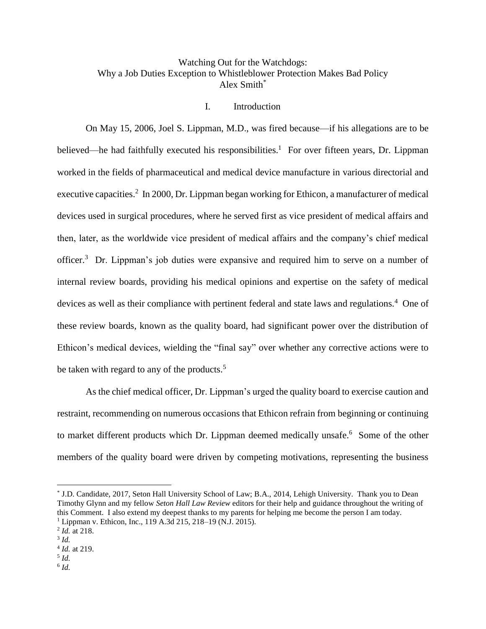# Watching Out for the Watchdogs: Why a Job Duties Exception to Whistleblower Protection Makes Bad Policy Alex Smith\*

#### I. Introduction

On May 15, 2006, Joel S. Lippman, M.D., was fired because—if his allegations are to be believed—he had faithfully executed his responsibilities.<sup>1</sup> For over fifteen years, Dr. Lippman worked in the fields of pharmaceutical and medical device manufacture in various directorial and executive capacities.<sup>2</sup> In 2000, Dr. Lippman began working for Ethicon, a manufacturer of medical devices used in surgical procedures, where he served first as vice president of medical affairs and then, later, as the worldwide vice president of medical affairs and the company's chief medical officer.<sup>3</sup> Dr. Lippman's job duties were expansive and required him to serve on a number of internal review boards, providing his medical opinions and expertise on the safety of medical devices as well as their compliance with pertinent federal and state laws and regulations.<sup>4</sup> One of these review boards, known as the quality board, had significant power over the distribution of Ethicon's medical devices, wielding the "final say" over whether any corrective actions were to be taken with regard to any of the products.<sup>5</sup>

As the chief medical officer, Dr. Lippman's urged the quality board to exercise caution and restraint, recommending on numerous occasions that Ethicon refrain from beginning or continuing to market different products which Dr. Lippman deemed medically unsafe.<sup>6</sup> Some of the other members of the quality board were driven by competing motivations, representing the business

<sup>\*</sup> J.D. Candidate, 2017, Seton Hall University School of Law; B.A., 2014, Lehigh University. Thank you to Dean Timothy Glynn and my fellow *Seton Hall Law Review* editors for their help and guidance throughout the writing of this Comment. I also extend my deepest thanks to my parents for helping me become the person I am today. <sup>1</sup> Lippman v. Ethicon, Inc., 119 A.3d 215, 218–19 (N.J. 2015).

<sup>2</sup> *Id.* at 218.

<sup>3</sup> *Id.* 

<sup>4</sup> *Id.* at 219.

<sup>5</sup> *Id.*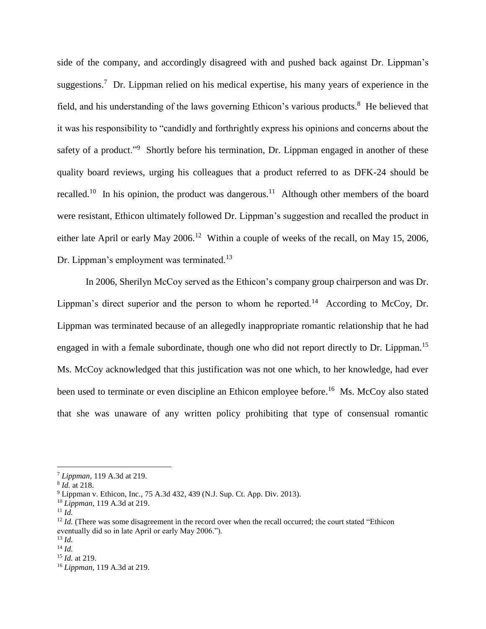side of the company, and accordingly disagreed with and pushed back against Dr. Lippman's suggestions.<sup>7</sup> Dr. Lippman relied on his medical expertise, his many years of experience in the field, and his understanding of the laws governing Ethicon's various products.<sup>8</sup> He believed that it was his responsibility to "candidly and forthrightly express his opinions and concerns about the safety of a product."<sup>9</sup> Shortly before his termination, Dr. Lippman engaged in another of these quality board reviews, urging his colleagues that a product referred to as DFK-24 should be recalled.<sup>10</sup> In his opinion, the product was dangerous.<sup>11</sup> Although other members of the board were resistant, Ethicon ultimately followed Dr. Lippman's suggestion and recalled the product in either late April or early May  $2006$ <sup>12</sup> Within a couple of weeks of the recall, on May 15, 2006, Dr. Lippman's employment was terminated.<sup>13</sup>

In 2006, Sherilyn McCoy served as the Ethicon's company group chairperson and was Dr. Lippman's direct superior and the person to whom he reported.<sup>14</sup> According to McCoy, Dr. Lippman was terminated because of an allegedly inappropriate romantic relationship that he had engaged in with a female subordinate, though one who did not report directly to Dr. Lippman.<sup>15</sup> Ms. McCoy acknowledged that this justification was not one which, to her knowledge, had ever been used to terminate or even discipline an Ethicon employee before.<sup>16</sup> Ms. McCoy also stated that she was unaware of any written policy prohibiting that type of consensual romantic

<sup>7</sup> *Lippman*, 119 A.3d at 219.

<sup>8</sup> *Id.* at 218.

<sup>9</sup> Lippman v. Ethicon, Inc., 75 A.3d 432, 439 (N.J. Sup. Ct. App. Div. 2013).

<sup>10</sup> *Lippman*, 119 A.3d at 219.

 $^{11}$  *Id.* 

<sup>&</sup>lt;sup>12</sup> *Id.* (There was some disagreement in the record over when the recall occurred; the court stated "Ethicon" eventually did so in late April or early May 2006.").

<sup>13</sup> *Id.* <sup>14</sup> *Id.*

<sup>15</sup> *Id.* at 219.

<sup>16</sup> *Lippman*, 119 A.3d at 219.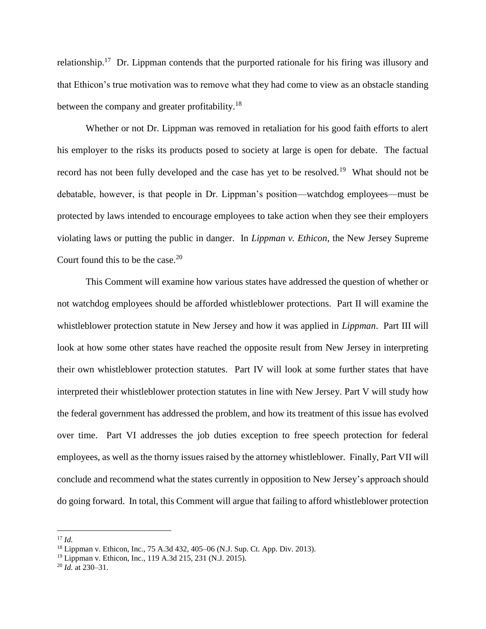relationship.<sup>17</sup> Dr. Lippman contends that the purported rationale for his firing was illusory and that Ethicon's true motivation was to remove what they had come to view as an obstacle standing between the company and greater profitability.<sup>18</sup>

Whether or not Dr. Lippman was removed in retaliation for his good faith efforts to alert his employer to the risks its products posed to society at large is open for debate. The factual record has not been fully developed and the case has yet to be resolved.<sup>19</sup> What should not be debatable, however, is that people in Dr. Lippman's position—watchdog employees—must be protected by laws intended to encourage employees to take action when they see their employers violating laws or putting the public in danger. In *Lippman v. Ethicon*, the New Jersey Supreme Court found this to be the case. $20$ 

This Comment will examine how various states have addressed the question of whether or not watchdog employees should be afforded whistleblower protections. Part II will examine the whistleblower protection statute in New Jersey and how it was applied in *Lippman*. Part III will look at how some other states have reached the opposite result from New Jersey in interpreting their own whistleblower protection statutes. Part IV will look at some further states that have interpreted their whistleblower protection statutes in line with New Jersey. Part V will study how the federal government has addressed the problem, and how its treatment of this issue has evolved over time. Part VI addresses the job duties exception to free speech protection for federal employees, as well as the thorny issues raised by the attorney whistleblower. Finally, Part VII will conclude and recommend what the states currently in opposition to New Jersey's approach should do going forward. In total, this Comment will argue that failing to afford whistleblower protection

<sup>17</sup> *Id.*

<sup>18</sup> Lippman v. Ethicon, Inc., 75 A.3d 432, 405–06 (N.J. Sup. Ct. App. Div. 2013).

<sup>19</sup> Lippman v. Ethicon, Inc., 119 A.3d 215, 231 (N.J. 2015).

<sup>20</sup> *Id.* at 230–31.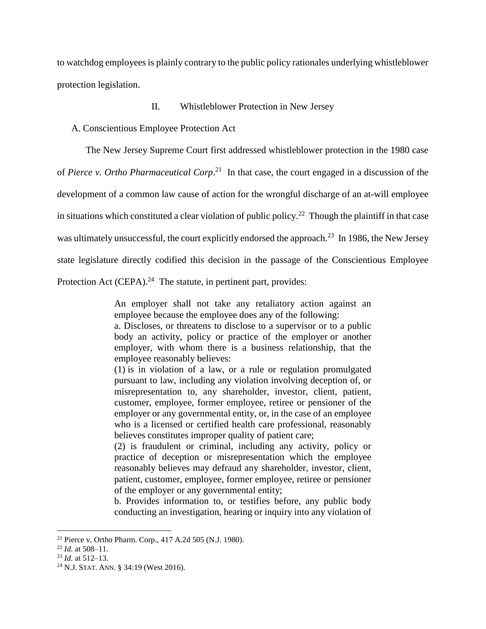to watchdog employees is plainly contrary to the public policy rationales underlying whistleblower protection legislation.

#### II. Whistleblower Protection in New Jersey

A. Conscientious Employee Protection Act

The New Jersey Supreme Court first addressed whistleblower protection in the 1980 case of *Pierce v. Ortho Pharmaceutical Corp*.<sup>21</sup> In that case, the court engaged in a discussion of the development of a common law cause of action for the wrongful discharge of an at-will employee in situations which constituted a clear violation of public policy.<sup>22</sup> Though the plaintiff in that case was ultimately unsuccessful, the court explicitly endorsed the approach.<sup>23</sup> In 1986, the New Jersey state legislature directly codified this decision in the passage of the Conscientious Employee Protection Act (CEPA). $^{24}$  The statute, in pertinent part, provides:

> An employer shall not take any retaliatory action against an employee because the employee does any of the following:

> a. Discloses, or threatens to disclose to a supervisor or to a public body an activity, policy or practice of the employer or another employer, with whom there is a business relationship, that the employee reasonably believes:

> (1) is in violation of a law, or a rule or regulation promulgated pursuant to law, including any violation involving deception of, or misrepresentation to, any shareholder, investor, client, patient, customer, employee, former employee, retiree or pensioner of the employer or any governmental entity, or, in the case of an employee who is a licensed or certified health care professional, reasonably believes constitutes improper quality of patient care;

> (2) is fraudulent or criminal, including any activity, policy or practice of deception or misrepresentation which the employee reasonably believes may defraud any shareholder, investor, client, patient, customer, employee, former employee, retiree or pensioner of the employer or any governmental entity;

> b. Provides information to, or testifies before, any public body conducting an investigation, hearing or inquiry into any violation of

<sup>&</sup>lt;sup>21</sup> Pierce v. Ortho Pharm. Corp., 417 A.2d 505 (N.J. 1980).

<sup>22</sup> *Id.* at 508–11.

<sup>23</sup> *Id.* at 512–13.

<sup>24</sup> N.J. STAT. ANN. § 34:19 (West 2016).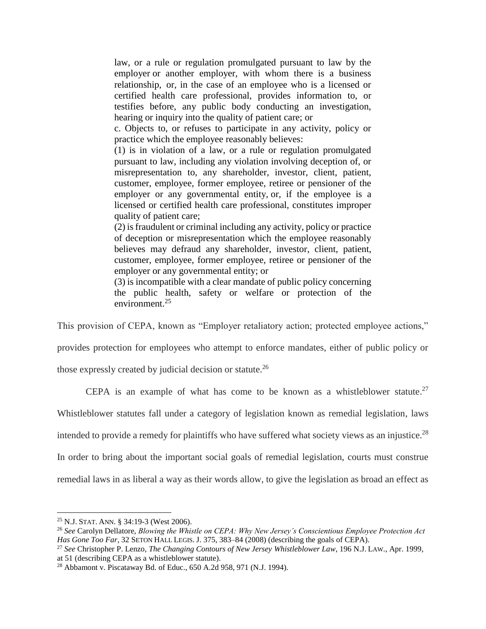law, or a rule or regulation promulgated pursuant to law by the employer or another employer, with whom there is a business relationship, or, in the case of an employee who is a licensed or certified health care professional, provides information to, or testifies before, any public body conducting an investigation, hearing or inquiry into the quality of patient care; or

c. Objects to, or refuses to participate in any activity, policy or practice which the employee reasonably believes:

(1) is in violation of a law, or a rule or regulation promulgated pursuant to law, including any violation involving deception of, or misrepresentation to, any shareholder, investor, client, patient, customer, employee, former employee, retiree or pensioner of the employer or any governmental entity, or, if the employee is a licensed or certified health care professional, constitutes improper quality of patient care;

(2) is fraudulent or criminal including any activity, policy or practice of deception or misrepresentation which the employee reasonably believes may defraud any shareholder, investor, client, patient, customer, employee, former employee, retiree or pensioner of the employer or any governmental entity; or

<span id="page-5-0"></span>(3) is incompatible with a clear mandate of public policy concerning the public health, safety or welfare or protection of the environment.<sup>25</sup>

This provision of CEPA, known as "Employer retaliatory action; protected employee actions,"

provides protection for employees who attempt to enforce mandates, either of public policy or

those expressly created by judicial decision or statute.<sup>26</sup>

CEPA is an example of what has come to be known as a whistleblower statute.<sup>27</sup>

Whistleblower statutes fall under a category of legislation known as remedial legislation, laws

intended to provide a remedy for plaintiffs who have suffered what society views as an injustice.<sup>28</sup>

In order to bring about the important social goals of remedial legislation, courts must construe

remedial laws in as liberal a way as their words allow, to give the legislation as broad an effect as

<sup>25</sup> N.J. STAT. ANN. § 34:19-3 (West 2006).

<sup>26</sup> *See* Carolyn Dellatore, *Blowing the Whistle on CEPA: Why New Jersey's Conscientious Employee Protection Act Has Gone Too Far*, 32 SETON HALL LEGIS. J. 375, 383–84 (2008) (describing the goals of CEPA).

<sup>27</sup> *See* Christopher P. Lenzo, *The Changing Contours of New Jersey Whistleblower Law*, 196 N.J. LAW., Apr. 1999, at 51 (describing CEPA as a whistleblower statute).

<sup>28</sup> Abbamont v. Piscataway Bd. of Educ., 650 A.2d 958, 971 (N.J. 1994).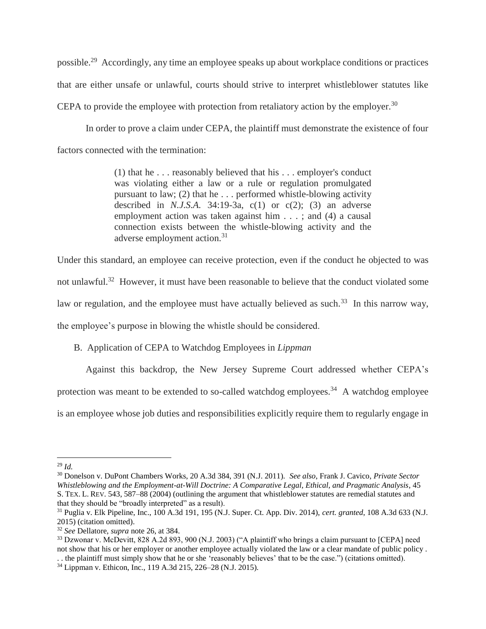possible.<sup>29</sup> Accordingly, any time an employee speaks up about workplace conditions or practices that are either unsafe or unlawful, courts should strive to interpret whistleblower statutes like CEPA to provide the employee with protection from retaliatory action by the employer.<sup>30</sup>

In order to prove a claim under CEPA, the plaintiff must demonstrate the existence of four factors connected with the termination:

> (1) that he . . . reasonably believed that his . . . employer's conduct was violating either a law or a rule or regulation promulgated pursuant to law; (2) that he . . . performed whistle-blowing activity described in *N.J.S.A.* 34:19-3a, c(1) or c(2); (3) an adverse employment action was taken against him . . . ; and (4) a causal connection exists between the whistle-blowing activity and the adverse employment action.<sup>31</sup>

Under this standard, an employee can receive protection, even if the conduct he objected to was not unlawful.<sup>32</sup> However, it must have been reasonable to believe that the conduct violated some law or regulation, and the employee must have actually believed as such.<sup>33</sup> In this narrow way, the employee's purpose in blowing the whistle should be considered.

# B. Application of CEPA to Watchdog Employees in *Lippman*

Against this backdrop, the New Jersey Supreme Court addressed whether CEPA's protection was meant to be extended to so-called watchdog employees.<sup>34</sup> A watchdog employee is an employee whose job duties and responsibilities explicitly require them to regularly engage in

 $\overline{a}$ <sup>29</sup> *Id.*

<sup>30</sup> Donelson v. DuPont Chambers Works, 20 A.3d 384, 391 (N.J. 2011). *See also*, Frank J. Cavico, *Private Sector Whistleblowing and the Employment-at-Will Doctrine: A Comparative Legal, Ethical, and Pragmatic Analysis*, 45 S. TEX. L. REV. 543, 587–88 (2004) (outlining the argument that whistleblower statutes are remedial statutes and that they should be "broadly interpreted" as a result).

<sup>31</sup> Puglia v. Elk Pipeline, Inc., 100 A.3d 191, 195 (N.J. Super. Ct. App. Div. 2014), *cert. granted*, 108 A.3d 633 (N.J. 2015) (citation omitted).

<sup>32</sup> *See* Dellatore, *supra* note [26,](#page-5-0) at 384.

<sup>&</sup>lt;sup>33</sup> Dzwonar v. McDevitt, 828 A.2d 893, 900 (N.J. 2003) ("A plaintiff who brings a claim pursuant to [CEPA] need not show that his or her employer or another employee actually violated the law or a clear mandate of public policy . . . the plaintiff must simply show that he or she 'reasonably believes' that to be the case.") (citations omitted).

<sup>34</sup> Lippman v. Ethicon, Inc., 119 A.3d 215, 226–28 (N.J. 2015).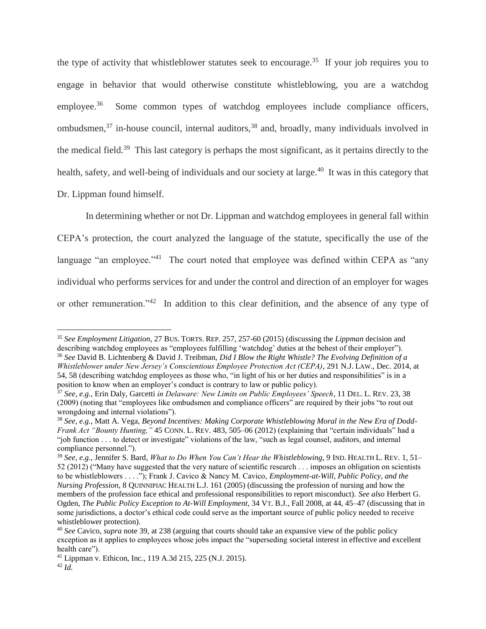the type of activity that whistleblower statutes seek to encourage.<sup>35</sup> If your job requires you to engage in behavior that would otherwise constitute whistleblowing, you are a watchdog employee.<sup>36</sup> Some common types of watchdog employees include compliance officers, ombudsmen, $37$  in-house council, internal auditors, $38$  and, broadly, many individuals involved in the medical field.<sup>39</sup> This last category is perhaps the most significant, as it pertains directly to the health, safety, and well-being of individuals and our society at large.<sup>40</sup> It was in this category that Dr. Lippman found himself.

<span id="page-7-0"></span>In determining whether or not Dr. Lippman and watchdog employees in general fall within CEPA's protection, the court analyzed the language of the statute, specifically the use of the language "an employee."<sup>41</sup> The court noted that employee was defined within CEPA as "any individual who performs services for and under the control and direction of an employer for wages or other remuneration."<sup>42</sup> In addition to this clear definition, and the absence of any type of

<sup>35</sup> *See Employment Litigation*, 27 BUS. TORTS. REP. 257, 257-60 (2015) (discussing the *Lippman* decision and describing watchdog employees as "employees fulfilling 'watchdog' duties at the behest of their employer"). <sup>36</sup> *See* David B. Lichtenberg & David J. Treibman, *Did I Blow the Right Whistle? The Evolving Definition of a Whistleblower under New Jersey's Conscientious Employee Protection Act (CEPA)*, 291 N.J. LAW., Dec. 2014, at 54, 58 (describing watchdog employees as those who, "in light of his or her duties and responsibilities" is in a position to know when an employer's conduct is contrary to law or public policy).

<sup>37</sup> *See, e.g.*, Erin Daly, Garcetti *in Delaware: New Limits on Public Employees' Speech*, 11 DEL. L. REV. 23, 38 (2009) (noting that "employees like ombudsmen and compliance officers" are required by their jobs "to rout out wrongdoing and internal violations").

<sup>38</sup> *See, e.g.*, Matt A. Vega, *Beyond Incentives: Making Corporate Whistleblowing Moral in the New Era of Dodd-Frank Act "Bounty Hunting,"* 45 CONN. L. REV. 483, 505–06 (2012) (explaining that "certain individuals" had a "job function . . . to detect or investigate" violations of the law, "such as legal counsel, auditors, and internal compliance personnel.").

<sup>39</sup> *See, e.g.*, Jennifer S. Bard, *What to Do When You Can't Hear the Whistleblowing*, 9 IND. HEALTH L. REV. 1, 51– 52 (2012) ("Many have suggested that the very nature of scientific research . . . imposes an obligation on scientists to be whistleblowers . . . ."); Frank J. Cavico & Nancy M. Cavico, *Employment-at-Will, Public Policy, and the Nursing Profession*, 8 QUINNIPIAC HEALTH L.J. 161 (2005) (discussing the profession of nursing and how the members of the profession face ethical and professional responsibilities to report misconduct). *See also* Herbert G. Ogden, *The Public Policy Exception to At-Will Employment*, 34 VT. B.J., Fall 2008, at 44, 45–47 (discussing that in some jurisdictions, a doctor's ethical code could serve as the important source of public policy needed to receive whistleblower protection).

<sup>40</sup> *See* Cavico, *supra* note [39,](#page-7-0) at 238 (arguing that courts should take an expansive view of the public policy exception as it applies to employees whose jobs impact the "superseding societal interest in effective and excellent health care").

<sup>41</sup> Lippman v. Ethicon, Inc., 119 A.3d 215, 225 (N.J. 2015).

 $^{42}$  *Id.*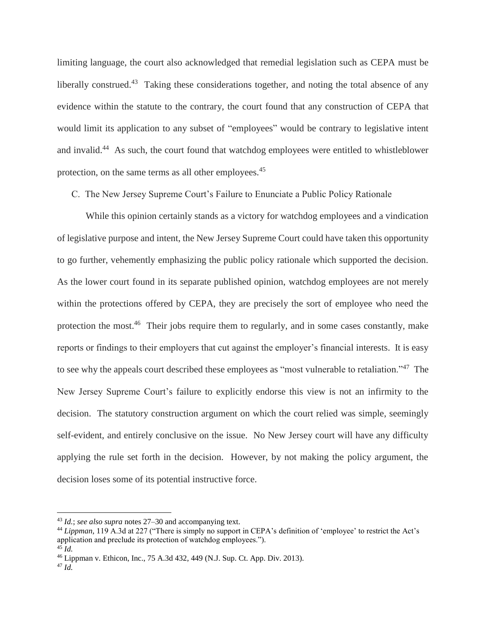limiting language, the court also acknowledged that remedial legislation such as CEPA must be liberally construed.<sup>43</sup> Taking these considerations together, and noting the total absence of any evidence within the statute to the contrary, the court found that any construction of CEPA that would limit its application to any subset of "employees" would be contrary to legislative intent and invalid.<sup>44</sup> As such, the court found that watchdog employees were entitled to whistleblower protection, on the same terms as all other employees.<sup>45</sup>

C. The New Jersey Supreme Court's Failure to Enunciate a Public Policy Rationale

While this opinion certainly stands as a victory for watchdog employees and a vindication of legislative purpose and intent, the New Jersey Supreme Court could have taken this opportunity to go further, vehemently emphasizing the public policy rationale which supported the decision. As the lower court found in its separate published opinion, watchdog employees are not merely within the protections offered by CEPA, they are precisely the sort of employee who need the protection the most.<sup>46</sup> Their jobs require them to regularly, and in some cases constantly, make reports or findings to their employers that cut against the employer's financial interests. It is easy to see why the appeals court described these employees as "most vulnerable to retaliation."<sup>47</sup> The New Jersey Supreme Court's failure to explicitly endorse this view is not an infirmity to the decision. The statutory construction argument on which the court relied was simple, seemingly self-evident, and entirely conclusive on the issue. No New Jersey court will have any difficulty applying the rule set forth in the decision. However, by not making the policy argument, the decision loses some of its potential instructive force.

<sup>43</sup> *Id.*; *see also supra* notes 27–30 and accompanying text.

<sup>44</sup> *Lippman*, 119 A.3d at 227 ("There is simply no support in CEPA's definition of 'employee' to restrict the Act's application and preclude its protection of watchdog employees.").  $^{45}$  *Id.* 

<sup>46</sup> Lippman v. Ethicon, Inc., 75 A.3d 432, 449 (N.J. Sup. Ct. App. Div. 2013).

 $^{47}$  *Id.*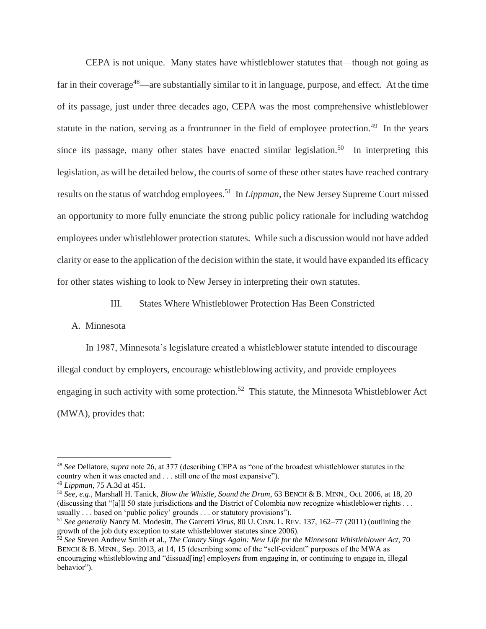CEPA is not unique. Many states have whistleblower statutes that—though not going as far in their coverage<sup>48</sup>—are substantially similar to it in language, purpose, and effect. At the time of its passage, just under three decades ago, CEPA was the most comprehensive whistleblower statute in the nation, serving as a frontrunner in the field of employee protection.<sup>49</sup> In the years since its passage, many other states have enacted similar legislation.<sup>50</sup> In interpreting this legislation, as will be detailed below, the courts of some of these other states have reached contrary results on the status of watchdog employees.<sup>51</sup> In *Lippman*, the New Jersey Supreme Court missed an opportunity to more fully enunciate the strong public policy rationale for including watchdog employees under whistleblower protection statutes. While such a discussion would not have added clarity or ease to the application of the decision within the state, it would have expanded its efficacy for other states wishing to look to New Jersey in interpreting their own statutes.

<span id="page-9-1"></span><span id="page-9-0"></span>III. States Where Whistleblower Protection Has Been Constricted

## A. Minnesota

In 1987, Minnesota's legislature created a whistleblower statute intended to discourage illegal conduct by employers, encourage whistleblowing activity, and provide employees engaging in such activity with some protection.<sup>52</sup> This statute, the Minnesota Whistleblower Act (MWA), provides that:

<sup>48</sup> *See* Dellatore, *supra* note 26, at 377 (describing CEPA as "one of the broadest whistleblower statutes in the country when it was enacted and . . . still one of the most expansive").

<sup>49</sup> *Lippman*, 75 A.3d at 451.

<sup>50</sup> *See, e.g.*, Marshall H. Tanick, *Blow the Whistle, Sound the Drum*, 63 BENCH & B. MINN., Oct. 2006, at 18, 20 (discussing that "[a]ll 50 state jurisdictions and the District of Colombia now recognize whistleblower rights . . . usually . . . based on 'public policy' grounds . . . or statutory provisions").

<sup>51</sup> *See generally* Nancy M. Modesitt, *The* Garcetti *Virus*, 80 U. CINN. L. REV. 137, 162–77 (2011) (outlining the growth of the job duty exception to state whistleblower statutes since 2006).

<sup>52</sup> *See* Steven Andrew Smith et al., *The Canary Sings Again: New Life for the Minnesota Whistleblower Act*, 70 BENCH & B. MINN., Sep. 2013, at 14, 15 (describing some of the "self-evident" purposes of the MWA as encouraging whistleblowing and "dissuad[ing] employers from engaging in, or continuing to engage in, illegal behavior").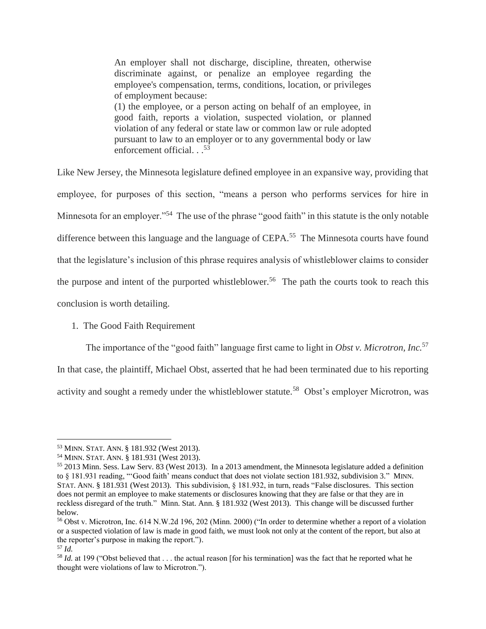An employer shall not discharge, discipline, threaten, otherwise discriminate against, or penalize an employee regarding the employee's compensation, terms, conditions, location, or privileges of employment because: (1) the employee, or a person acting on behalf of an employee, in good faith, reports a violation, suspected violation, or planned violation of any federal or state law or common law or rule adopted pursuant to law to an employer or to any governmental body or law enforcement official. . . 53

Like New Jersey, the Minnesota legislature defined employee in an expansive way, providing that employee, for purposes of this section, "means a person who performs services for hire in Minnesota for an employer."<sup>54</sup> The use of the phrase "good faith" in this statute is the only notable difference between this language and the language of CEPA.<sup>55</sup> The Minnesota courts have found that the legislature's inclusion of this phrase requires analysis of whistleblower claims to consider the purpose and intent of the purported whistleblower.<sup>56</sup> The path the courts took to reach this conclusion is worth detailing.

# 1. The Good Faith Requirement

The importance of the "good faith" language first came to light in *Obst v. Microtron, Inc.*<sup>57</sup>

In that case, the plaintiff, Michael Obst, asserted that he had been terminated due to his reporting activity and sought a remedy under the whistleblower statute.<sup>58</sup> Obst's employer Microtron, was

<sup>53</sup> MINN. STAT. ANN. § 181.932 (West 2013).

<sup>54</sup> MINN. STAT. ANN. § 181.931 (West 2013).

<sup>55</sup> 2013 Minn. Sess. Law Serv. 83 (West 2013). In a 2013 amendment, the Minnesota legislature added a definition to § 181.931 reading, "'Good faith' means conduct that does not violate section 181.932, subdivision 3." MINN. STAT. ANN. § 181.931 (West 2013). This subdivision, § 181.932, in turn, reads "False disclosures. This section does not permit an employee to make statements or disclosures knowing that they are false or that they are in reckless disregard of the truth." Minn. Stat. Ann. § 181.932 (West 2013). This change will be discussed further below.

<sup>56</sup> Obst v. Microtron, Inc. 614 N.W.2d 196, 202 (Minn. 2000) ("In order to determine whether a report of a violation or a suspected violation of law is made in good faith, we must look not only at the content of the report, but also at the reporter's purpose in making the report.").

<sup>57</sup> *Id.*

<sup>&</sup>lt;sup>58</sup> *Id.* at 199 ("Obst believed that ... the actual reason [for his termination] was the fact that he reported what he thought were violations of law to Microtron.").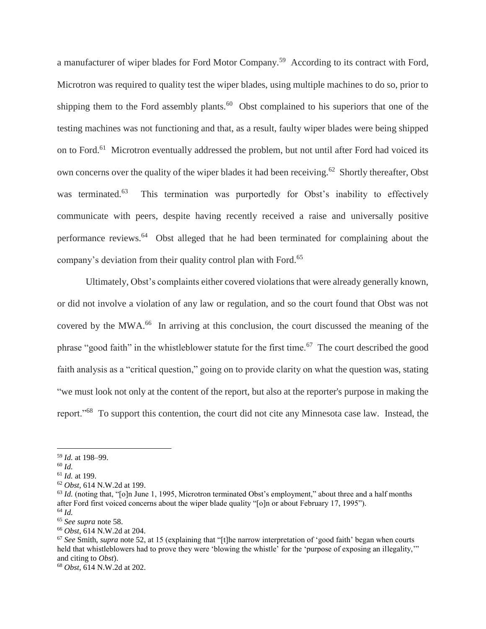a manufacturer of wiper blades for Ford Motor Company.<sup>59</sup> According to its contract with Ford, Microtron was required to quality test the wiper blades, using multiple machines to do so, prior to shipping them to the Ford assembly plants.<sup>60</sup> Obst complained to his superiors that one of the testing machines was not functioning and that, as a result, faulty wiper blades were being shipped on to Ford.<sup>61</sup> Microtron eventually addressed the problem, but not until after Ford had voiced its own concerns over the quality of the wiper blades it had been receiving.<sup>62</sup> Shortly thereafter, Obst was terminated.<sup>63</sup> This termination was purportedly for Obst's inability to effectively communicate with peers, despite having recently received a raise and universally positive performance reviews.<sup>64</sup> Obst alleged that he had been terminated for complaining about the company's deviation from their quality control plan with Ford.<sup>65</sup>

Ultimately, Obst's complaints either covered violations that were already generally known, or did not involve a violation of any law or regulation, and so the court found that Obst was not covered by the MWA.<sup>66</sup> In arriving at this conclusion, the court discussed the meaning of the phrase "good faith" in the whistleblower statute for the first time.<sup>67</sup> The court described the good faith analysis as a "critical question," going on to provide clarity on what the question was, stating "we must look not only at the content of the report, but also at the reporter's purpose in making the report."<sup>68</sup> To support this contention, the court did not cite any Minnesota case law. Instead, the

<sup>59</sup> *Id.* at 198–99.

<sup>60</sup> *Id.*

<sup>61</sup> *Id.* at 199.

<sup>62</sup> *Obst*, 614 N.W.2d at 199.

<sup>&</sup>lt;sup>63</sup> *Id.* (noting that, "[o]n June 1, 1995, Microtron terminated Obst's employment," about three and a half months after Ford first voiced concerns about the wiper blade quality "[o]n or about February 17, 1995"). <sup>64</sup> *Id.*

<sup>65</sup> *See supra* note 58.

<sup>66</sup> *Obst*, 614 N.W.2d at 204.

<sup>67</sup> *See* Smith, *supra* note [52,](#page-9-0) at 15 (explaining that "[t]he narrow interpretation of 'good faith' began when courts held that whistleblowers had to prove they were 'blowing the whistle' for the 'purpose of exposing an illegality,'" and citing to *Obst*).

<sup>68</sup> *Obst*, 614 N.W.2d at 202.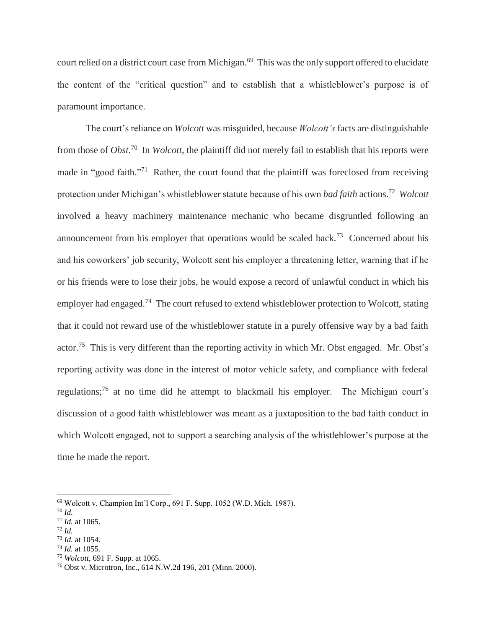court relied on a district court case from Michigan.<sup>69</sup> This was the only support offered to elucidate the content of the "critical question" and to establish that a whistleblower's purpose is of paramount importance.

The court's reliance on *Wolcott* was misguided, because *Wolcott's* facts are distinguishable from those of *Obst*. 70 In *Wolcott*, the plaintiff did not merely fail to establish that his reports were made in "good faith."<sup>71</sup> Rather, the court found that the plaintiff was foreclosed from receiving protection under Michigan's whistleblower statute because of his own *bad faith* actions. 72 *Wolcott* involved a heavy machinery maintenance mechanic who became disgruntled following an announcement from his employer that operations would be scaled back.<sup>73</sup> Concerned about his and his coworkers' job security, Wolcott sent his employer a threatening letter, warning that if he or his friends were to lose their jobs, he would expose a record of unlawful conduct in which his employer had engaged.<sup>74</sup> The court refused to extend whistleblower protection to Wolcott, stating that it could not reward use of the whistleblower statute in a purely offensive way by a bad faith actor.<sup>75</sup> This is very different than the reporting activity in which Mr. Obst engaged. Mr. Obst's reporting activity was done in the interest of motor vehicle safety, and compliance with federal regulations;<sup>76</sup> at no time did he attempt to blackmail his employer. The Michigan court's discussion of a good faith whistleblower was meant as a juxtaposition to the bad faith conduct in which Wolcott engaged, not to support a searching analysis of the whistleblower's purpose at the time he made the report.

<sup>69</sup> Wolcott v. Champion Int'l Corp., 691 F. Supp. 1052 (W.D. Mich. 1987).

<sup>70</sup> *Id.*

<sup>71</sup> *Id.* at 1065.

<sup>72</sup> *Id.*

<sup>73</sup> *Id.* at 1054.

<sup>74</sup> *Id.* at 1055.

<sup>75</sup> *Wolcott*, 691 F. Supp. at 1065.

<sup>76</sup> Obst v. Microtron, Inc., 614 N.W.2d 196, 201 (Minn. 2000).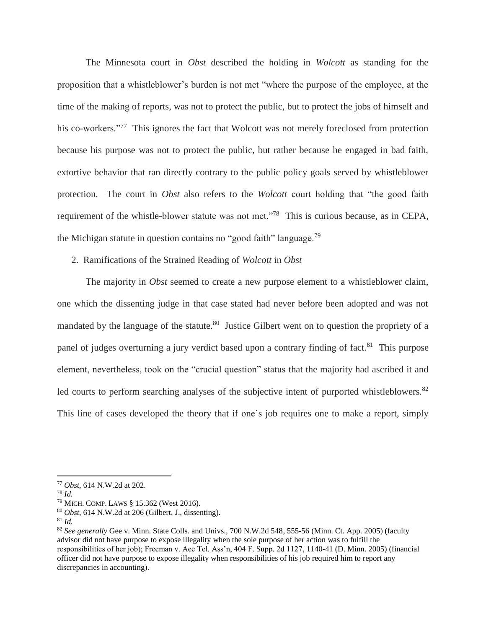The Minnesota court in *Obst* described the holding in *Wolcott* as standing for the proposition that a whistleblower's burden is not met "where the purpose of the employee, at the time of the making of reports, was not to protect the public, but to protect the jobs of himself and his co-workers."<sup>77</sup> This ignores the fact that Wolcott was not merely foreclosed from protection because his purpose was not to protect the public, but rather because he engaged in bad faith, extortive behavior that ran directly contrary to the public policy goals served by whistleblower protection. The court in *Obst* also refers to the *Wolcott* court holding that "the good faith requirement of the whistle-blower statute was not met."<sup>78</sup> This is curious because, as in CEPA, the Michigan statute in question contains no "good faith" language.<sup>79</sup>

#### 2. Ramifications of the Strained Reading of *Wolcott* in *Obst*

The majority in *Obst* seemed to create a new purpose element to a whistleblower claim, one which the dissenting judge in that case stated had never before been adopted and was not mandated by the language of the statute.<sup>80</sup> Justice Gilbert went on to question the propriety of a panel of judges overturning a jury verdict based upon a contrary finding of fact.<sup>81</sup> This purpose element, nevertheless, took on the "crucial question" status that the majority had ascribed it and led courts to perform searching analyses of the subjective intent of purported whistleblowers.<sup>82</sup> This line of cases developed the theory that if one's job requires one to make a report, simply

 $\overline{a}$ 

<sup>80</sup> *Obst*, 614 N.W.2d at 206 (Gilbert, J., dissenting).

<sup>81</sup> *Id.*

<sup>77</sup> *Obst*, 614 N.W.2d at 202.

<sup>78</sup> *Id.*

<sup>79</sup> MICH. COMP. LAWS § 15.362 (West 2016).

<sup>82</sup> *See generally* Gee v. Minn. State Colls. and Univs., 700 N.W.2d 548, 555-56 (Minn. Ct. App. 2005) (faculty advisor did not have purpose to expose illegality when the sole purpose of her action was to fulfill the responsibilities of her job); Freeman v. Ace Tel. Ass'n, 404 F. Supp. 2d 1127, 1140-41 (D. Minn. 2005) (financial officer did not have purpose to expose illegality when responsibilities of his job required him to report any discrepancies in accounting).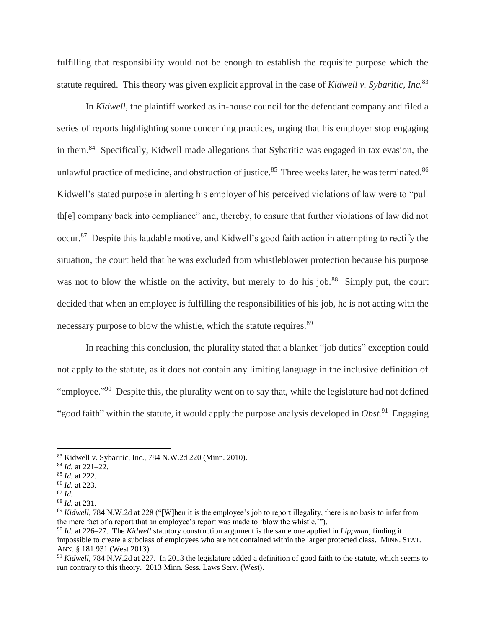fulfilling that responsibility would not be enough to establish the requisite purpose which the statute required. This theory was given explicit approval in the case of *Kidwell v. Sybaritic, Inc.*<sup>83</sup>

In *Kidwell*, the plaintiff worked as in-house council for the defendant company and filed a series of reports highlighting some concerning practices, urging that his employer stop engaging in them.<sup>84</sup> Specifically, Kidwell made allegations that Sybaritic was engaged in tax evasion, the unlawful practice of medicine, and obstruction of justice.<sup>85</sup> Three weeks later, he was terminated.<sup>86</sup> Kidwell's stated purpose in alerting his employer of his perceived violations of law were to "pull th[e] company back into compliance" and, thereby, to ensure that further violations of law did not occur.<sup>87</sup> Despite this laudable motive, and Kidwell's good faith action in attempting to rectify the situation, the court held that he was excluded from whistleblower protection because his purpose was not to blow the whistle on the activity, but merely to do his job.<sup>88</sup> Simply put, the court decided that when an employee is fulfilling the responsibilities of his job, he is not acting with the necessary purpose to blow the whistle, which the statute requires.<sup>89</sup>

In reaching this conclusion, the plurality stated that a blanket "job duties" exception could not apply to the statute, as it does not contain any limiting language in the inclusive definition of "employee."<sup>90</sup> Despite this, the plurality went on to say that, while the legislature had not defined "good faith" within the statute, it would apply the purpose analysis developed in *Obst*.<sup>91</sup> Engaging

<sup>83</sup> Kidwell v. Sybaritic, Inc., 784 N.W.2d 220 (Minn. 2010).

<sup>84</sup> *Id.* at 221–22.

<sup>85</sup> *Id.* at 222.

<sup>86</sup> *Id.* at 223.

<sup>87</sup> *Id.*

<sup>88</sup> *Id.* at 231.

<sup>&</sup>lt;sup>89</sup> *Kidwell*, 784 N.W.2d at 228 ("[W]hen it is the employee's job to report illegality, there is no basis to infer from the mere fact of a report that an employee's report was made to 'blow the whistle.'").

<sup>90</sup> *Id.* at 226–27. The *Kidwell* statutory construction argument is the same one applied in *Lippman*, finding it impossible to create a subclass of employees who are not contained within the larger protected class. MINN. STAT. ANN. § 181.931 (West 2013).

<sup>91</sup> *Kidwell*, 784 N.W.2d at 227. In 2013 the legislature added a definition of good faith to the statute, which seems to run contrary to this theory. 2013 Minn. Sess. Laws Serv. (West).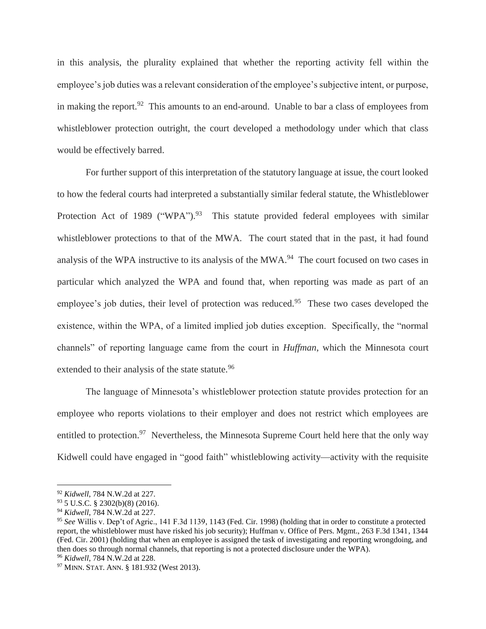in this analysis, the plurality explained that whether the reporting activity fell within the employee's job duties was a relevant consideration of the employee's subjective intent, or purpose, in making the report.<sup>92</sup> This amounts to an end-around. Unable to bar a class of employees from whistleblower protection outright, the court developed a methodology under which that class would be effectively barred.

For further support of this interpretation of the statutory language at issue, the court looked to how the federal courts had interpreted a substantially similar federal statute, the Whistleblower Protection Act of 1989 ("WPA").<sup>93</sup> This statute provided federal employees with similar whistleblower protections to that of the MWA. The court stated that in the past, it had found analysis of the WPA instructive to its analysis of the MWA.<sup>94</sup> The court focused on two cases in particular which analyzed the WPA and found that, when reporting was made as part of an employee's job duties, their level of protection was reduced.<sup>95</sup> These two cases developed the existence, within the WPA, of a limited implied job duties exception. Specifically, the "normal channels" of reporting language came from the court in *Huffman*, which the Minnesota court extended to their analysis of the state statute.<sup>96</sup>

The language of Minnesota's whistleblower protection statute provides protection for an employee who reports violations to their employer and does not restrict which employees are entitled to protection.<sup>97</sup> Nevertheless, the Minnesota Supreme Court held here that the only way Kidwell could have engaged in "good faith" whistleblowing activity—activity with the requisite

<sup>92</sup> *Kidwell*, 784 N.W.2d at 227.

<sup>93</sup> 5 U.S.C. § 2302(b)(8) (2016).

<sup>94</sup> *Kidwell*, 784 N.W.2d at 227.

<sup>95</sup> *See* Willis v. Dep't of Agric., 141 F.3d 1139, 1143 (Fed. Cir. 1998) (holding that in order to constitute a protected report, the whistleblower must have risked his job security); Huffman v. Office of Pers. Mgmt., 263 F.3d 1341, 1344 (Fed. Cir. 2001) (holding that when an employee is assigned the task of investigating and reporting wrongdoing, and then does so through normal channels, that reporting is not a protected disclosure under the WPA). <sup>96</sup> *Kidwell*, 784 N.W.2d at 228.

<sup>97</sup> MINN. STAT. ANN. § 181.932 (West 2013).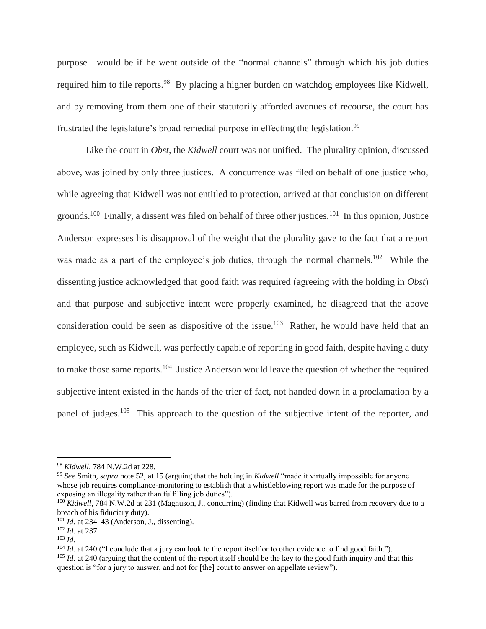purpose—would be if he went outside of the "normal channels" through which his job duties required him to file reports.<sup>98</sup> By placing a higher burden on watchdog employees like Kidwell, and by removing from them one of their statutorily afforded avenues of recourse, the court has frustrated the legislature's broad remedial purpose in effecting the legislation.<sup>99</sup>

Like the court in *Obst*, the *Kidwell* court was not unified. The plurality opinion, discussed above, was joined by only three justices. A concurrence was filed on behalf of one justice who, while agreeing that Kidwell was not entitled to protection, arrived at that conclusion on different grounds.<sup>100</sup> Finally, a dissent was filed on behalf of three other justices.<sup>101</sup> In this opinion, Justice Anderson expresses his disapproval of the weight that the plurality gave to the fact that a report was made as a part of the employee's job duties, through the normal channels.<sup>102</sup> While the dissenting justice acknowledged that good faith was required (agreeing with the holding in *Obst*) and that purpose and subjective intent were properly examined, he disagreed that the above consideration could be seen as dispositive of the issue.<sup>103</sup> Rather, he would have held that an employee, such as Kidwell, was perfectly capable of reporting in good faith, despite having a duty to make those same reports.<sup>104</sup> Justice Anderson would leave the question of whether the required subjective intent existed in the hands of the trier of fact, not handed down in a proclamation by a panel of judges.<sup>105</sup> This approach to the question of the subjective intent of the reporter, and

<sup>98</sup> *Kidwell*, 784 N.W.2d at 228.

<sup>99</sup> *See* Smith, *supra* note [52,](#page-9-0) at 15 (arguing that the holding in *Kidwell* "made it virtually impossible for anyone whose job requires compliance-monitoring to establish that a whistleblowing report was made for the purpose of exposing an illegality rather than fulfilling job duties").

<sup>&</sup>lt;sup>100</sup> *Kidwell*, 784 N.W.2d at 231 (Magnuson, J., concurring) (finding that Kidwell was barred from recovery due to a breach of his fiduciary duty).

<sup>101</sup> *Id.* at 234–43 (Anderson, J., dissenting).

<sup>102</sup> *Id.* at 237.

<sup>103</sup> *Id.*

<sup>&</sup>lt;sup>104</sup> *Id.* at 240 ("I conclude that a jury can look to the report itself or to other evidence to find good faith."). <sup>105</sup> *Id.* at 240 (arguing that the content of the report itself should be the key to the good faith inquiry and that this question is "for a jury to answer, and not for [the] court to answer on appellate review").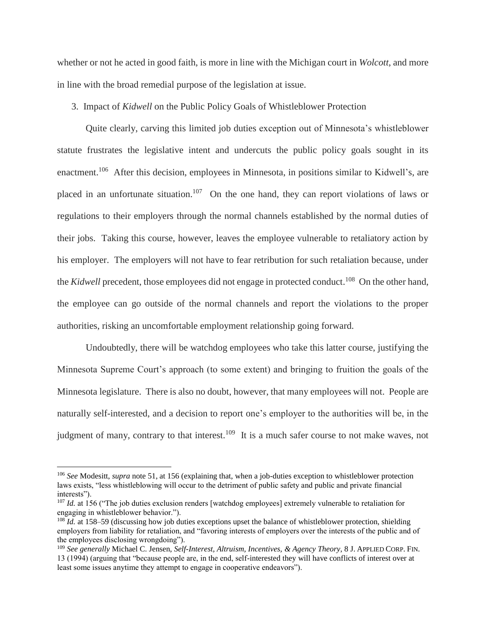whether or not he acted in good faith, is more in line with the Michigan court in *Wolcott*, and more in line with the broad remedial purpose of the legislation at issue.

3. Impact of *Kidwell* on the Public Policy Goals of Whistleblower Protection

Quite clearly, carving this limited job duties exception out of Minnesota's whistleblower statute frustrates the legislative intent and undercuts the public policy goals sought in its enactment.<sup>106</sup> After this decision, employees in Minnesota, in positions similar to Kidwell's, are placed in an unfortunate situation.<sup>107</sup> On the one hand, they can report violations of laws or regulations to their employers through the normal channels established by the normal duties of their jobs. Taking this course, however, leaves the employee vulnerable to retaliatory action by his employer. The employers will not have to fear retribution for such retaliation because, under the *Kidwell* precedent, those employees did not engage in protected conduct.<sup>108</sup> On the other hand, the employee can go outside of the normal channels and report the violations to the proper authorities, risking an uncomfortable employment relationship going forward.

Undoubtedly, there will be watchdog employees who take this latter course, justifying the Minnesota Supreme Court's approach (to some extent) and bringing to fruition the goals of the Minnesota legislature. There is also no doubt, however, that many employees will not. People are naturally self-interested, and a decision to report one's employer to the authorities will be, in the judgment of many, contrary to that interest.<sup>109</sup> It is a much safer course to not make waves, not

<sup>106</sup> *See* Modesitt, *supra* note [51,](#page-9-1) at 156 (explaining that, when a job-duties exception to whistleblower protection laws exists, "less whistleblowing will occur to the detriment of public safety and public and private financial interests").

<sup>&</sup>lt;sup>107</sup> *Id.* at 156 ("The job duties exclusion renders [watchdog employees] extremely vulnerable to retaliation for engaging in whistleblower behavior.").

<sup>&</sup>lt;sup>108</sup> *Id.* at 158–59 (discussing how job duties exceptions upset the balance of whistleblower protection, shielding employers from liability for retaliation, and "favoring interests of employers over the interests of the public and of the employees disclosing wrongdoing").

<sup>109</sup> *See generally* Michael C. Jensen, *Self-Interest, Altruism, Incentives, & Agency Theory*, 8 J. APPLIED CORP. FIN. 13 (1994) (arguing that "because people are, in the end, self-interested they will have conflicts of interest over at least some issues anytime they attempt to engage in cooperative endeavors").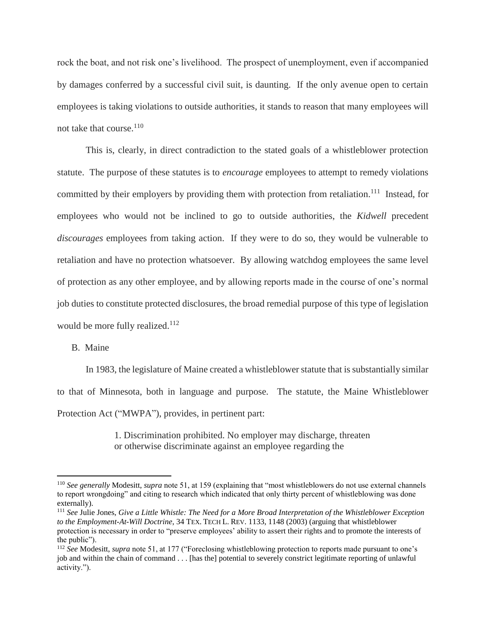rock the boat, and not risk one's livelihood. The prospect of unemployment, even if accompanied by damages conferred by a successful civil suit, is daunting. If the only avenue open to certain employees is taking violations to outside authorities, it stands to reason that many employees will not take that course. $110$ 

This is, clearly, in direct contradiction to the stated goals of a whistleblower protection statute. The purpose of these statutes is to *encourage* employees to attempt to remedy violations committed by their employers by providing them with protection from retaliation.<sup>111</sup> Instead, for employees who would not be inclined to go to outside authorities, the *Kidwell* precedent *discourages* employees from taking action. If they were to do so, they would be vulnerable to retaliation and have no protection whatsoever. By allowing watchdog employees the same level of protection as any other employee, and by allowing reports made in the course of one's normal job duties to constitute protected disclosures, the broad remedial purpose of this type of legislation would be more fully realized.<sup>112</sup>

# B. Maine

 $\overline{a}$ 

In 1983, the legislature of Maine created a whistleblower statute that is substantially similar to that of Minnesota, both in language and purpose. The statute, the Maine Whistleblower Protection Act ("MWPA"), provides, in pertinent part:

> 1. Discrimination prohibited. No employer may discharge, threaten or otherwise discriminate against an employee regarding the

<sup>110</sup> *See generally* Modesitt, *supra* note 51, at 159 (explaining that "most whistleblowers do not use external channels to report wrongdoing" and citing to research which indicated that only thirty percent of whistleblowing was done externally).

<sup>111</sup> *See* Julie Jones, *Give a Little Whistle: The Need for a More Broad Interpretation of the Whistleblower Exception to the Employment-At-Will Doctrine*, 34 TEX. TECH L. REV. 1133, 1148 (2003) (arguing that whistleblower protection is necessary in order to "preserve employees' ability to assert their rights and to promote the interests of the public").

<sup>112</sup> *See* Modesitt, *supra* note 51, at 177 ("Foreclosing whistleblowing protection to reports made pursuant to one's job and within the chain of command . . . [has the] potential to severely constrict legitimate reporting of unlawful activity.").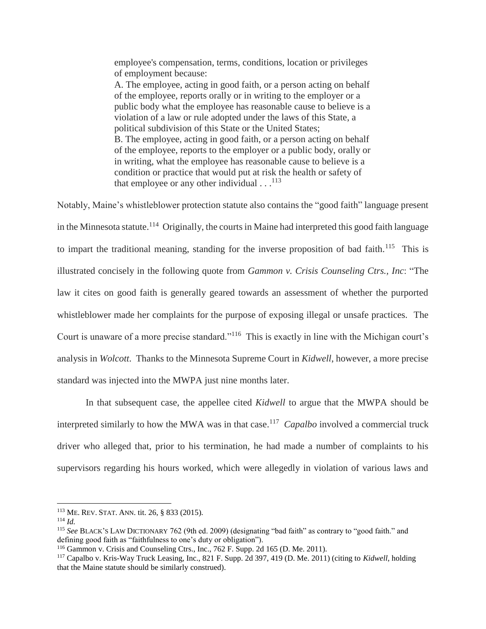employee's compensation, terms, conditions, location or privileges of employment because: A. The employee, acting in good faith, or a person acting on behalf of the employee, reports orally or in writing to the employer or a public body what the employee has reasonable cause to believe is a violation of a law or rule adopted under the laws of this State, a political subdivision of this State or the United States;

B. The employee, acting in good faith, or a person acting on behalf of the employee, reports to the employer or a public body, orally or in writing, what the employee has reasonable cause to believe is a condition or practice that would put at risk the health or safety of that employee or any other individual  $\dots$ <sup>113</sup>

Notably, Maine's whistleblower protection statute also contains the "good faith" language present in the Minnesota statute.<sup>114</sup> Originally, the courts in Maine had interpreted this good faith language to impart the traditional meaning, standing for the inverse proposition of bad faith.<sup>115</sup> This is illustrated concisely in the following quote from *Gammon v. Crisis Counseling Ctrs., Inc*: "The law it cites on good faith is generally geared towards an assessment of whether the purported whistleblower made her complaints for the purpose of exposing illegal or unsafe practices. The Court is unaware of a more precise standard."<sup>116</sup> This is exactly in line with the Michigan court's analysis in *Wolcott*. Thanks to the Minnesota Supreme Court in *Kidwell*, however, a more precise standard was injected into the MWPA just nine months later.

In that subsequent case, the appellee cited *Kidwell* to argue that the MWPA should be interpreted similarly to how the MWA was in that case.<sup>117</sup> *Capalbo* involved a commercial truck driver who alleged that, prior to his termination, he had made a number of complaints to his supervisors regarding his hours worked, which were allegedly in violation of various laws and

<sup>113</sup> ME. REV. STAT. ANN. tit. 26, § 833 (2015).

<sup>114</sup> *Id.*

<sup>115</sup> *See* BLACK'S LAW DICTIONARY 762 (9th ed. 2009) (designating "bad faith" as contrary to "good faith." and defining good faith as "faithfulness to one's duty or obligation").

<sup>116</sup> Gammon v. Crisis and Counseling Ctrs., Inc., 762 F. Supp. 2d 165 (D. Me. 2011).

<sup>117</sup> Capalbo v. Kris-Way Truck Leasing, Inc., 821 F. Supp. 2d 397, 419 (D. Me. 2011) (citing to *Kidwell*, holding that the Maine statute should be similarly construed).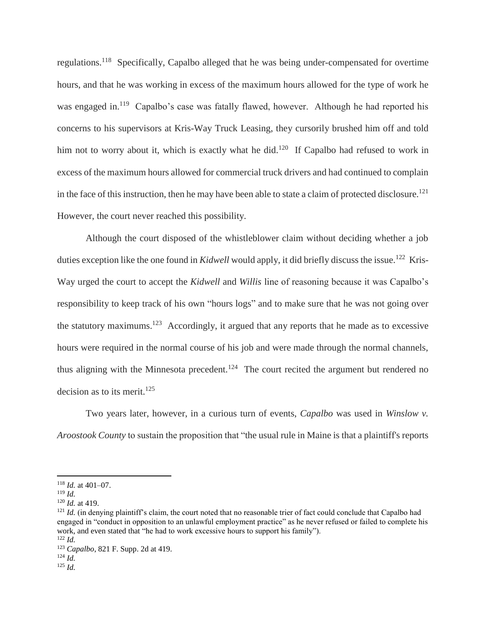regulations.<sup>118</sup> Specifically, Capalbo alleged that he was being under-compensated for overtime hours, and that he was working in excess of the maximum hours allowed for the type of work he was engaged in.<sup>119</sup> Capalbo's case was fatally flawed, however. Although he had reported his concerns to his supervisors at Kris-Way Truck Leasing, they cursorily brushed him off and told him not to worry about it, which is exactly what he did.<sup>120</sup> If Capalbo had refused to work in excess of the maximum hours allowed for commercial truck drivers and had continued to complain in the face of this instruction, then he may have been able to state a claim of protected disclosure.<sup>121</sup> However, the court never reached this possibility.

Although the court disposed of the whistleblower claim without deciding whether a job duties exception like the one found in *Kidwell* would apply, it did briefly discuss the issue.<sup>122</sup> Kris-Way urged the court to accept the *Kidwell* and *Willis* line of reasoning because it was Capalbo's responsibility to keep track of his own "hours logs" and to make sure that he was not going over the statutory maximums.<sup>123</sup> Accordingly, it argued that any reports that he made as to excessive hours were required in the normal course of his job and were made through the normal channels, thus aligning with the Minnesota precedent.<sup>124</sup> The court recited the argument but rendered no decision as to its merit.<sup>125</sup>

Two years later, however, in a curious turn of events, *Capalbo* was used in *Winslow v. Aroostook County* to sustain the proposition that "the usual rule in Maine is that a plaintiff's reports

<sup>118</sup> *Id.* at 401–07.

<sup>119</sup> *Id.*

<sup>120</sup> *Id.* at 419.

<sup>&</sup>lt;sup>121</sup> *Id.* (in denying plaintiff's claim, the court noted that no reasonable trier of fact could conclude that Capalbo had engaged in "conduct in opposition to an unlawful employment practice" as he never refused or failed to complete his work, and even stated that "he had to work excessive hours to support his family"). <sup>122</sup> *Id.*

<sup>123</sup> *Capalbo*, 821 F. Supp. 2d at 419.

<sup>124</sup> *Id.*

<sup>125</sup> *Id.*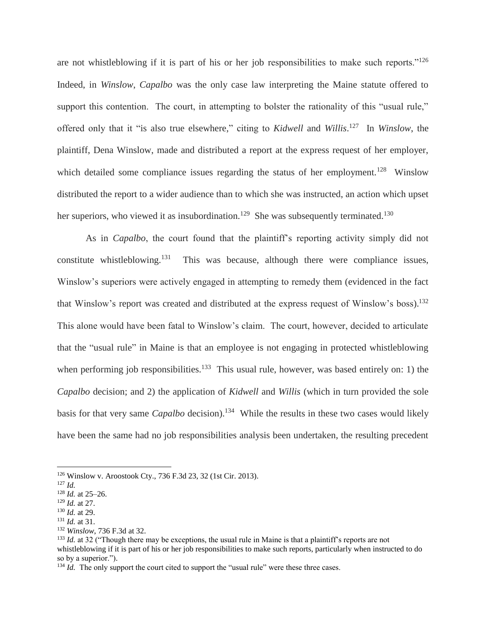are not whistleblowing if it is part of his or her job responsibilities to make such reports."<sup>126</sup> Indeed, in *Winslow*, *Capalbo* was the only case law interpreting the Maine statute offered to support this contention. The court, in attempting to bolster the rationality of this "usual rule," offered only that it "is also true elsewhere," citing to *Kidwell* and *Willis*. 127 In *Winslow*, the plaintiff, Dena Winslow, made and distributed a report at the express request of her employer, which detailed some compliance issues regarding the status of her employment.<sup>128</sup> Winslow distributed the report to a wider audience than to which she was instructed, an action which upset her superiors, who viewed it as insubordination.<sup>129</sup> She was subsequently terminated.<sup>130</sup>

As in *Capalbo*, the court found that the plaintiff's reporting activity simply did not constitute whistleblowing. $131$  This was because, although there were compliance issues, Winslow's superiors were actively engaged in attempting to remedy them (evidenced in the fact that Winslow's report was created and distributed at the express request of Winslow's boss).<sup>132</sup> This alone would have been fatal to Winslow's claim. The court, however, decided to articulate that the "usual rule" in Maine is that an employee is not engaging in protected whistleblowing when performing job responsibilities.<sup>133</sup> This usual rule, however, was based entirely on: 1) the *Capalbo* decision; and 2) the application of *Kidwell* and *Willis* (which in turn provided the sole basis for that very same *Capalbo* decision). 134 While the results in these two cases would likely have been the same had no job responsibilities analysis been undertaken, the resulting precedent

<sup>126</sup> Winslow v. Aroostook Cty., 736 F.3d 23, 32 (1st Cir. 2013).

<sup>127</sup> *Id.*

<sup>128</sup> *Id.* at 25–26.

<sup>129</sup> *Id.* at 27.

<sup>130</sup> *Id.* at 29.

<sup>131</sup> *Id.* at 31.

<sup>132</sup> *Winslow*, 736 F.3d at 32.

<sup>&</sup>lt;sup>133</sup> *Id.* at 32 ("Though there may be exceptions, the usual rule in Maine is that a plaintiff's reports are not whistleblowing if it is part of his or her job responsibilities to make such reports, particularly when instructed to do so by a superior.").

<sup>&</sup>lt;sup>134</sup> *Id.* The only support the court cited to support the "usual rule" were these three cases.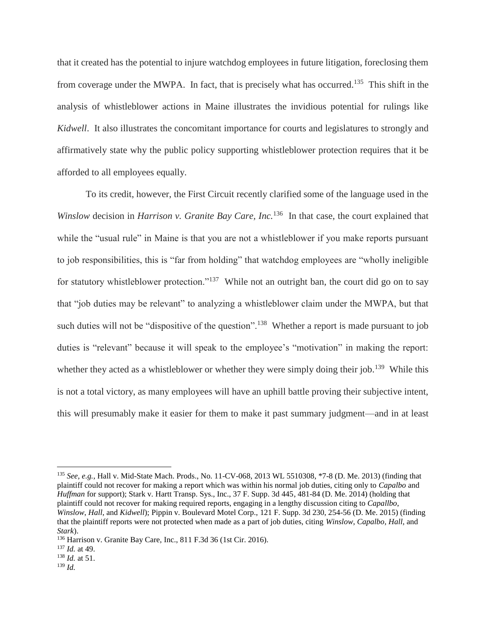that it created has the potential to injure watchdog employees in future litigation, foreclosing them from coverage under the MWPA. In fact, that is precisely what has occurred.<sup>135</sup> This shift in the analysis of whistleblower actions in Maine illustrates the invidious potential for rulings like *Kidwell*. It also illustrates the concomitant importance for courts and legislatures to strongly and affirmatively state why the public policy supporting whistleblower protection requires that it be afforded to all employees equally.

To its credit, however, the First Circuit recently clarified some of the language used in the Winslow decision in *Harrison v. Granite Bay Care, Inc.*<sup>136</sup> In that case, the court explained that while the "usual rule" in Maine is that you are not a whistleblower if you make reports pursuant to job responsibilities, this is "far from holding" that watchdog employees are "wholly ineligible for statutory whistleblower protection."<sup>137</sup> While not an outright ban, the court did go on to say that "job duties may be relevant" to analyzing a whistleblower claim under the MWPA, but that such duties will not be "dispositive of the question".<sup>138</sup> Whether a report is made pursuant to job duties is "relevant" because it will speak to the employee's "motivation" in making the report: whether they acted as a whistleblower or whether they were simply doing their job.<sup>139</sup> While this is not a total victory, as many employees will have an uphill battle proving their subjective intent, this will presumably make it easier for them to make it past summary judgment—and in at least

<sup>135</sup> *See, e.g.*, Hall v. Mid-State Mach. Prods., No. 11-CV-068, 2013 WL 5510308, \*7-8 (D. Me. 2013) (finding that plaintiff could not recover for making a report which was within his normal job duties, citing only to *Capalbo* and *Huffman* for support); Stark v. Hartt Transp. Sys., Inc., 37 F. Supp. 3d 445, 481-84 (D. Me. 2014) (holding that plaintiff could not recover for making required reports, engaging in a lengthy discussion citing to *Capallbo*, *Winslow*, *Hall*, and *Kidwell*); Pippin v. Boulevard Motel Corp., 121 F. Supp. 3d 230, 254-56 (D. Me. 2015) (finding that the plaintiff reports were not protected when made as a part of job duties, citing *Winslow*, *Capalbo*, *Hall*, and *Stark*).

<sup>136</sup> Harrison v. Granite Bay Care, Inc., 811 F.3d 36 (1st Cir. 2016).

<sup>137</sup> *Id.* at 49.

<sup>138</sup> *Id.* at 51.

<sup>139</sup> *Id.*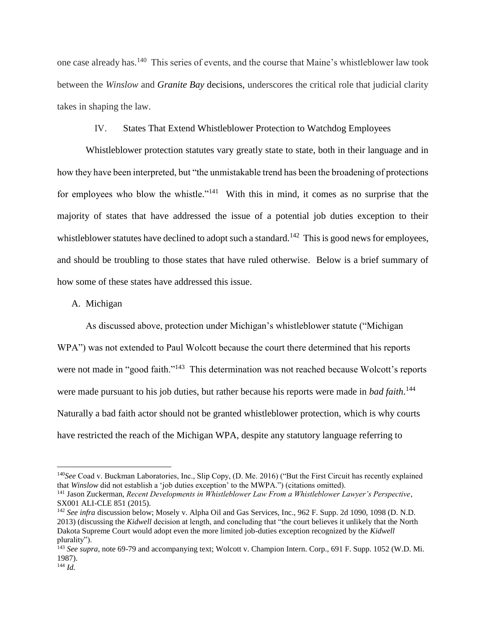one case already has.<sup>140</sup> This series of events, and the course that Maine's whistleblower law took between the *Winslow* and *Granite Bay* decisions, underscores the critical role that judicial clarity takes in shaping the law.

# IV. States That Extend Whistleblower Protection to Watchdog Employees

Whistleblower protection statutes vary greatly state to state, both in their language and in how they have been interpreted, but "the unmistakable trend has been the broadening of protections for employees who blow the whistle."<sup>141</sup> With this in mind, it comes as no surprise that the majority of states that have addressed the issue of a potential job duties exception to their whistleblower statutes have declined to adopt such a standard.<sup>142</sup> This is good news for employees, and should be troubling to those states that have ruled otherwise. Below is a brief summary of how some of these states have addressed this issue.

#### A. Michigan

As discussed above, protection under Michigan's whistleblower statute ("Michigan WPA") was not extended to Paul Wolcott because the court there determined that his reports were not made in "good faith."<sup>143</sup> This determination was not reached because Wolcott's reports were made pursuant to his job duties, but rather because his reports were made in *bad faith*. 144 Naturally a bad faith actor should not be granted whistleblower protection, which is why courts have restricted the reach of the Michigan WPA, despite any statutory language referring to

<sup>140</sup>*See* Coad v. Buckman Laboratories, Inc., Slip Copy, (D. Me. 2016) ("But the First Circuit has recently explained that *Winslow* did not establish a 'job duties exception' to the MWPA.") (citations omitted).

<sup>141</sup> Jason Zuckerman, *Recent Developments in Whistleblower Law From a Whistleblower Lawyer's Perspective*, SX001 ALI-CLE 851 (2015).

<sup>142</sup> *See infra* discussion below; Mosely v. Alpha Oil and Gas Services, Inc., 962 F. Supp. 2d 1090, 1098 (D. N.D. 2013) (discussing the *Kidwell* decision at length, and concluding that "the court believes it unlikely that the North Dakota Supreme Court would adopt even the more limited job-duties exception recognized by the *Kidwell* plurality").

<sup>143</sup> *See supra*, note 69-79 and accompanying text; Wolcott v. Champion Intern. Corp., 691 F. Supp. 1052 (W.D. Mi. 1987).

<sup>144</sup> *Id.*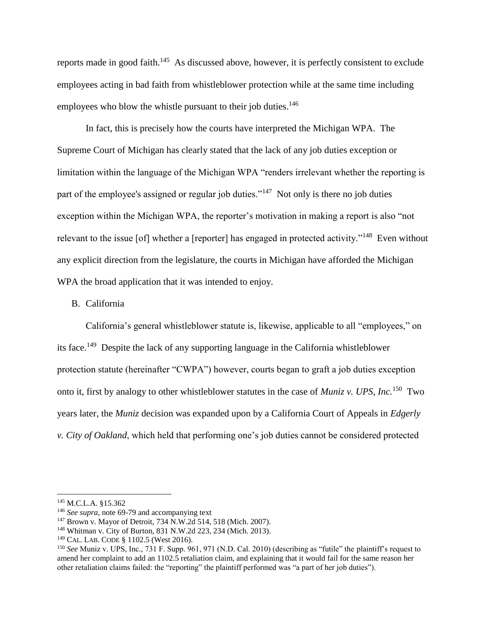reports made in good faith.<sup>145</sup> As discussed above, however, it is perfectly consistent to exclude employees acting in bad faith from whistleblower protection while at the same time including employees who blow the whistle pursuant to their job duties.<sup>146</sup>

In fact, this is precisely how the courts have interpreted the Michigan WPA. The Supreme Court of Michigan has clearly stated that the lack of any job duties exception or limitation within the language of the Michigan WPA "renders irrelevant whether the reporting is part of the employee's assigned or regular job duties."<sup>147</sup> Not only is there no job duties exception within the Michigan WPA, the reporter's motivation in making a report is also "not relevant to the issue [of] whether a [reporter] has engaged in protected activity."<sup>148</sup> Even without any explicit direction from the legislature, the courts in Michigan have afforded the Michigan WPA the broad application that it was intended to enjoy.

# B. California

California's general whistleblower statute is, likewise, applicable to all "employees," on its face.<sup>149</sup> Despite the lack of any supporting language in the California whistleblower protection statute (hereinafter "CWPA") however, courts began to graft a job duties exception onto it, first by analogy to other whistleblower statutes in the case of *Muniz v. UPS, Inc.*<sup>150</sup> Two years later, the *Muniz* decision was expanded upon by a California Court of Appeals in *Edgerly v. City of Oakland*, which held that performing one's job duties cannot be considered protected

<sup>145</sup> M.C.L.A. §15.362

<sup>146</sup> *See supra*, note 69-79 and accompanying text

<sup>147</sup> Brown v. Mayor of Detroit, 734 N.W.2d 514, 518 (Mich. 2007).

<sup>148</sup> Whitman v. City of Burton, 831 N.W.2d 223, 234 (Mich. 2013).

<sup>149</sup> CAL. LAB. CODE § 1102.5 (West 2016).

<sup>150</sup> *See* Muniz v. UPS, Inc., 731 F. Supp. 961, 971 (N.D. Cal. 2010) (describing as "futile" the plaintiff's request to amend her complaint to add an 1102.5 retaliation claim, and explaining that it would fail for the same reason her other retaliation claims failed: the "reporting" the plaintiff performed was "a part of her job duties").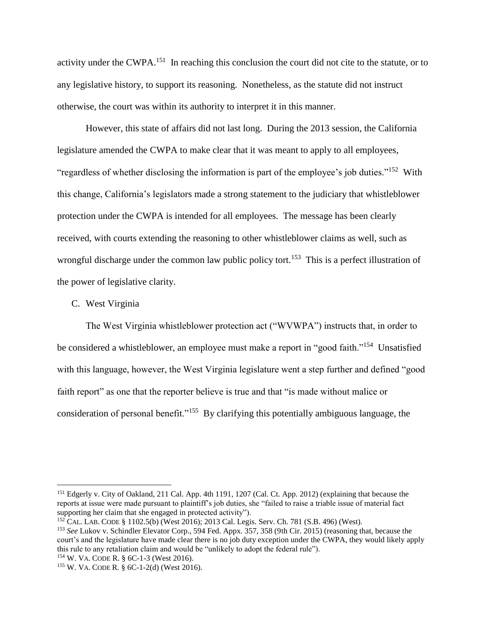activity under the CWPA.<sup>151</sup> In reaching this conclusion the court did not cite to the statute, or to any legislative history, to support its reasoning. Nonetheless, as the statute did not instruct otherwise, the court was within its authority to interpret it in this manner.

However, this state of affairs did not last long. During the 2013 session, the California legislature amended the CWPA to make clear that it was meant to apply to all employees, "regardless of whether disclosing the information is part of the employee's job duties."<sup>152</sup> With this change, California's legislators made a strong statement to the judiciary that whistleblower protection under the CWPA is intended for all employees. The message has been clearly received, with courts extending the reasoning to other whistleblower claims as well, such as wrongful discharge under the common law public policy tort.<sup>153</sup> This is a perfect illustration of the power of legislative clarity.

# C. West Virginia

The West Virginia whistleblower protection act ("WVWPA") instructs that, in order to be considered a whistleblower, an employee must make a report in "good faith."<sup>154</sup> Unsatisfied with this language, however, the West Virginia legislature went a step further and defined "good faith report" as one that the reporter believe is true and that "is made without malice or consideration of personal benefit."<sup>155</sup> By clarifying this potentially ambiguous language, the

<sup>154</sup> W. VA. CODE R. § 6C-1-3 (West 2016).

<sup>&</sup>lt;sup>151</sup> Edgerly v. City of Oakland, 211 Cal. App. 4th 1191, 1207 (Cal. Ct. App. 2012) (explaining that because the reports at issue were made pursuant to plaintiff's job duties, she "failed to raise a triable issue of material fact supporting her claim that she engaged in protected activity").

<sup>152</sup> CAL. LAB. CODE § 1102.5(b) (West 2016); 2013 Cal. Legis. Serv. Ch. 781 (S.B. 496) (West).

<sup>153</sup> *See* Lukov v. Schindler Elevator Corp., 594 Fed. Appx. 357, 358 (9th Cir. 2015) (reasoning that, because the court's and the legislature have made clear there is no job duty exception under the CWPA, they would likely apply this rule to any retaliation claim and would be "unlikely to adopt the federal rule").

<sup>155</sup> W. VA. CODE R. § 6C-1-2(d) (West 2016).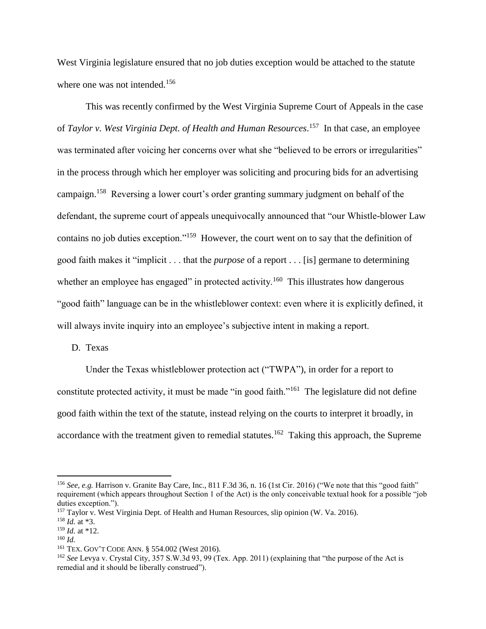West Virginia legislature ensured that no job duties exception would be attached to the statute where one was not intended.<sup>156</sup>

This was recently confirmed by the West Virginia Supreme Court of Appeals in the case of *Taylor v. West Virginia Dept. of Health and Human Resources*. 157 In that case, an employee was terminated after voicing her concerns over what she "believed to be errors or irregularities" in the process through which her employer was soliciting and procuring bids for an advertising campaign.<sup>158</sup> Reversing a lower court's order granting summary judgment on behalf of the defendant, the supreme court of appeals unequivocally announced that "our Whistle-blower Law contains no job duties exception."<sup>159</sup> However, the court went on to say that the definition of good faith makes it "implicit . . . that the *purpose* of a report . . . [is] germane to determining whether an employee has engaged" in protected activity.<sup>160</sup> This illustrates how dangerous "good faith" language can be in the whistleblower context: even where it is explicitly defined, it will always invite inquiry into an employee's subjective intent in making a report.

D. Texas

Under the Texas whistleblower protection act ("TWPA"), in order for a report to constitute protected activity, it must be made "in good faith."<sup>161</sup> The legislature did not define good faith within the text of the statute, instead relying on the courts to interpret it broadly, in accordance with the treatment given to remedial statutes.<sup>162</sup> Taking this approach, the Supreme

<sup>&</sup>lt;sup>156</sup> See, e.g. Harrison v. Granite Bay Care, Inc., 811 F.3d 36, n. 16 (1st Cir. 2016) ("We note that this "good faith" requirement (which appears throughout Section 1 of the Act) is the only conceivable textual hook for a possible "job duties exception.").

<sup>&</sup>lt;sup>157</sup> Taylor v. West Virginia Dept. of Health and Human Resources, slip opinion (W. Va. 2016).

<sup>158</sup> *Id.* at \*3.

<sup>159</sup> *Id.* at \*12.

<sup>160</sup> *Id.*

<sup>161</sup> TEX. GOV'T CODE ANN. § 554.002 (West 2016).

<sup>162</sup> *See* Levya v. Crystal City, 357 S.W.3d 93, 99 (Tex. App. 2011) (explaining that "the purpose of the Act is remedial and it should be liberally construed").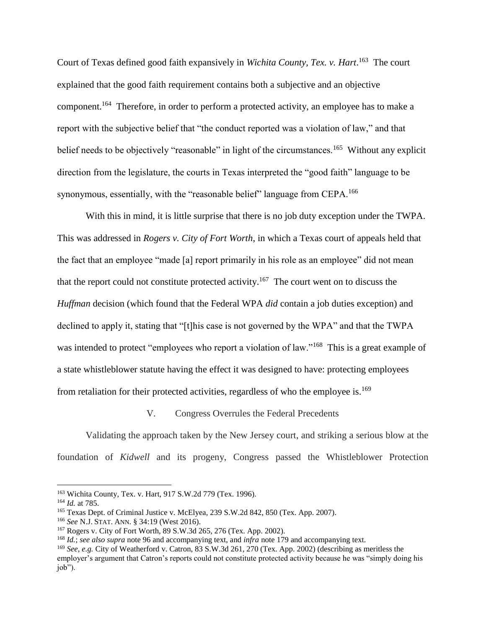Court of Texas defined good faith expansively in *Wichita County, Tex. v. Hart*. 163 The court explained that the good faith requirement contains both a subjective and an objective component.<sup>164</sup> Therefore, in order to perform a protected activity, an employee has to make a report with the subjective belief that "the conduct reported was a violation of law," and that belief needs to be objectively "reasonable" in light of the circumstances.<sup>165</sup> Without any explicit direction from the legislature, the courts in Texas interpreted the "good faith" language to be synonymous, essentially, with the "reasonable belief" language from CEPA.<sup>166</sup>

With this in mind, it is little surprise that there is no job duty exception under the TWPA. This was addressed in *Rogers v. City of Fort Worth*, in which a Texas court of appeals held that the fact that an employee "made [a] report primarily in his role as an employee" did not mean that the report could not constitute protected activity.<sup>167</sup> The court went on to discuss the *Huffman* decision (which found that the Federal WPA *did* contain a job duties exception) and declined to apply it, stating that "[t]his case is not governed by the WPA" and that the TWPA was intended to protect "employees who report a violation of law."<sup>168</sup> This is a great example of a state whistleblower statute having the effect it was designed to have: protecting employees from retaliation for their protected activities, regardless of who the employee is.<sup>169</sup>

V. Congress Overrules the Federal Precedents

Validating the approach taken by the New Jersey court, and striking a serious blow at the foundation of *Kidwell* and its progeny, Congress passed the Whistleblower Protection

<sup>163</sup> Wichita County, Tex. v. Hart, 917 S.W.2d 779 (Tex. 1996).

<sup>164</sup> *Id.* at 785.

<sup>165</sup> Texas Dept. of Criminal Justice v. McElyea, 239 S.W.2d 842, 850 (Tex. App. 2007).

<sup>166</sup> *See* N.J. STAT. ANN. § 34:19 (West 2016).

<sup>167</sup> Rogers v. City of Fort Worth, 89 S.W.3d 265, 276 (Tex. App. 2002).

<sup>168</sup> *Id.*; *see also supra* note 96 and accompanying text, and *infra* note 179 and accompanying text.

<sup>169</sup> *See, e.g.* City of Weatherford v. Catron, 83 S.W.3d 261, 270 (Tex. App. 2002) (describing as meritless the employer's argument that Catron's reports could not constitute protected activity because he was "simply doing his job").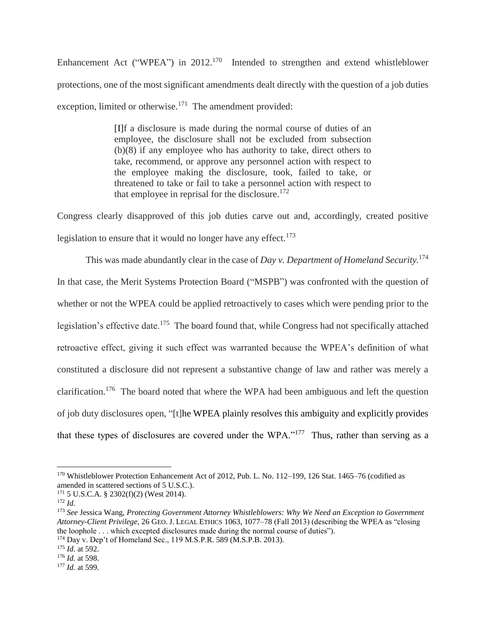Enhancement Act ("WPEA") in  $2012$ <sup>170</sup> Intended to strengthen and extend whistleblower protections, one of the most significant amendments dealt directly with the question of a job duties exception, limited or otherwise.<sup>171</sup> The amendment provided:

> [I]f a disclosure is made during the normal course of duties of an employee, the disclosure shall not be excluded from subsection (b)(8) if any employee who has authority to take, direct others to take, recommend, or approve any personnel action with respect to the employee making the disclosure, took, failed to take, or threatened to take or fail to take a personnel action with respect to that employee in reprisal for the disclosure.<sup>172</sup>

Congress clearly disapproved of this job duties carve out and, accordingly, created positive legislation to ensure that it would no longer have any effect.<sup>173</sup>

This was made abundantly clear in the case of *Day v. Department of Homeland Security.*<sup>174</sup> In that case, the Merit Systems Protection Board ("MSPB") was confronted with the question of whether or not the WPEA could be applied retroactively to cases which were pending prior to the legislation's effective date.<sup>175</sup> The board found that, while Congress had not specifically attached retroactive effect, giving it such effect was warranted because the WPEA's definition of what constituted a disclosure did not represent a substantive change of law and rather was merely a clarification.<sup>176</sup> The board noted that where the WPA had been ambiguous and left the question of job duty disclosures open, "[t]he WPEA plainly resolves this ambiguity and explicitly provides that these types of disclosures are covered under the WPA."<sup>177</sup> Thus, rather than serving as a

<sup>170</sup> Whistleblower Protection Enhancement Act of 2012, Pub. L. No. 112–199, 126 Stat. 1465–76 (codified as amended in scattered sections of 5 U.S.C.).

<sup>171</sup> 5 U.S.C.A. § 2302(f)(2) (West 2014).

<sup>172</sup> *Id.*

<sup>173</sup> *See* Jessica Wang, *Protecting Government Attorney Whistleblowers: Why We Need an Exception to Government Attorney-Client Privilege*, 26 GEO. J. LEGAL ETHICS 1063, 1077–78 (Fall 2013) (describing the WPEA as "closing the loophole . . . which excepted disclosures made during the normal course of duties").

<sup>174</sup> Day v. Dep't of Homeland Sec., 119 M.S.P.R. 589 (M.S.P.B. 2013).

<sup>175</sup> *Id.* at 592.

<sup>176</sup> *Id.* at 598.

<sup>177</sup> *Id.* at 599.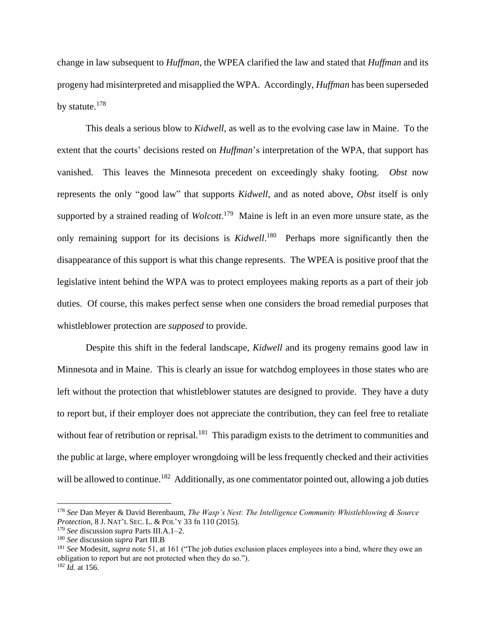change in law subsequent to *Huffman*, the WPEA clarified the law and stated that *Huffman* and its progeny had misinterpreted and misapplied the WPA. Accordingly, *Huffman* has been superseded by statute.<sup>178</sup>

This deals a serious blow to *Kidwell*, as well as to the evolving case law in Maine. To the extent that the courts' decisions rested on *Huffman*'s interpretation of the WPA, that support has vanished. This leaves the Minnesota precedent on exceedingly shaky footing. *Obst* now represents the only "good law" that supports *Kidwell*, and as noted above, *Obst* itself is only supported by a strained reading of *Wolcott*. 179 Maine is left in an even more unsure state, as the only remaining support for its decisions is *Kidwell*.<sup>180</sup> Perhaps more significantly then the disappearance of this support is what this change represents. The WPEA is positive proof that the legislative intent behind the WPA was to protect employees making reports as a part of their job duties. Of course, this makes perfect sense when one considers the broad remedial purposes that whistleblower protection are *supposed* to provide.

Despite this shift in the federal landscape, *Kidwell* and its progeny remains good law in Minnesota and in Maine. This is clearly an issue for watchdog employees in those states who are left without the protection that whistleblower statutes are designed to provide. They have a duty to report but, if their employer does not appreciate the contribution, they can feel free to retaliate without fear of retribution or reprisal.<sup>181</sup> This paradigm exists to the detriment to communities and the public at large, where employer wrongdoing will be less frequently checked and their activities will be allowed to continue.<sup>182</sup> Additionally, as one commentator pointed out, allowing a job duties

<sup>178</sup> *See* Dan Meyer & David Berenbaum, *The Wasp's Nest: The Intelligence Community Whistleblowing & Source Protection*, 8 J. NAT'L SEC. L. & POL'Y 33 fn 110 (2015).

<sup>179</sup> *See* discussion *supra* Parts III.A.1–2.

<sup>180</sup> *See* discussion *supra* Part III.B

<sup>181</sup> *See* Modesitt, *supra* note 51, at 161 ("The job duties exclusion places employees into a bind, where they owe an obligation to report but are not protected when they do so.").

<sup>182</sup> *Id.* at 156.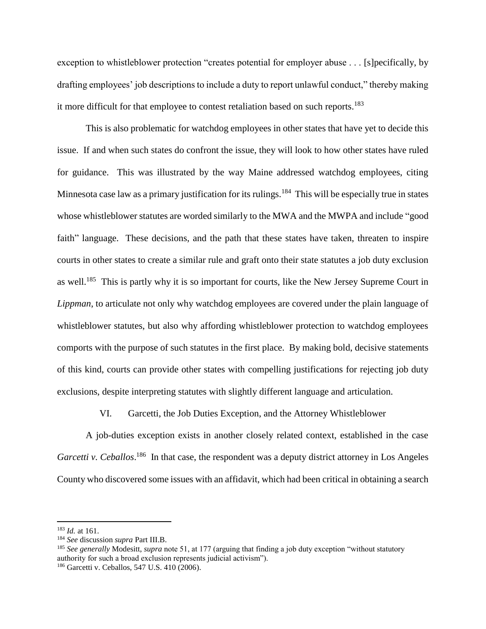exception to whistleblower protection "creates potential for employer abuse . . . [s]pecifically, by drafting employees' job descriptions to include a duty to report unlawful conduct," thereby making it more difficult for that employee to contest retaliation based on such reports.<sup>183</sup>

This is also problematic for watchdog employees in other states that have yet to decide this issue. If and when such states do confront the issue, they will look to how other states have ruled for guidance. This was illustrated by the way Maine addressed watchdog employees, citing Minnesota case law as a primary justification for its rulings.<sup>184</sup> This will be especially true in states whose whistleblower statutes are worded similarly to the MWA and the MWPA and include "good faith" language. These decisions, and the path that these states have taken, threaten to inspire courts in other states to create a similar rule and graft onto their state statutes a job duty exclusion as well.<sup>185</sup> This is partly why it is so important for courts, like the New Jersey Supreme Court in *Lippman*, to articulate not only why watchdog employees are covered under the plain language of whistleblower statutes, but also why affording whistleblower protection to watchdog employees comports with the purpose of such statutes in the first place. By making bold, decisive statements of this kind, courts can provide other states with compelling justifications for rejecting job duty exclusions, despite interpreting statutes with slightly different language and articulation.

VI. Garcetti, the Job Duties Exception, and the Attorney Whistleblower

A job-duties exception exists in another closely related context, established in the case Garcetti v. Ceballos.<sup>186</sup> In that case, the respondent was a deputy district attorney in Los Angeles County who discovered some issues with an affidavit, which had been critical in obtaining a search

<sup>183</sup> *Id.* at 161.

<sup>184</sup> *See* discussion *supra* Part III.B.

<sup>&</sup>lt;sup>185</sup> See generally Modesitt, *supra* note 51, at 177 (arguing that finding a job duty exception "without statutory" authority for such a broad exclusion represents judicial activism").

<sup>186</sup> Garcetti v. Ceballos, 547 U.S. 410 (2006).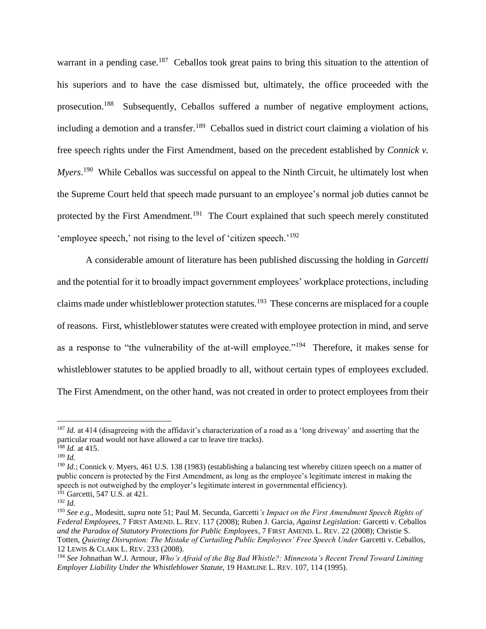warrant in a pending case.<sup>187</sup> Ceballos took great pains to bring this situation to the attention of his superiors and to have the case dismissed but, ultimately, the office proceeded with the prosecution.<sup>188</sup> Subsequently, Ceballos suffered a number of negative employment actions, including a demotion and a transfer.<sup>189</sup> Ceballos sued in district court claiming a violation of his free speech rights under the First Amendment, based on the precedent established by *Connick v. Myers*.<sup>190</sup> While Ceballos was successful on appeal to the Ninth Circuit, he ultimately lost when the Supreme Court held that speech made pursuant to an employee's normal job duties cannot be protected by the First Amendment.<sup>191</sup> The Court explained that such speech merely constituted 'employee speech,' not rising to the level of 'citizen speech.'<sup>192</sup>

A considerable amount of literature has been published discussing the holding in *Garcetti* and the potential for it to broadly impact government employees' workplace protections, including claims made under whistleblower protection statutes.<sup>193</sup> These concerns are misplaced for a couple of reasons. First, whistleblower statutes were created with employee protection in mind, and serve as a response to "the vulnerability of the at-will employee."<sup>194</sup> Therefore, it makes sense for whistleblower statutes to be applied broadly to all, without certain types of employees excluded. The First Amendment, on the other hand, was not created in order to protect employees from their

<sup>&</sup>lt;sup>187</sup> *Id.* at 414 (disagreeing with the affidavit's characterization of a road as a 'long driveway' and asserting that the particular road would not have allowed a car to leave tire tracks).

 $188$  *Id.* at 415.

<sup>189</sup> *Id.*

<sup>190</sup> *Id.*; Connick v. Myers, 461 U.S. 138 (1983) (establishing a balancing test whereby citizen speech on a matter of public concern is protected by the First Amendment, as long as the employee's legitimate interest in making the speech is not outweighed by the employer's legitimate interest in governmental efficiency).  $191$  Garcetti, 547 U.S. at 421.

<sup>192</sup> *Id.*

<sup>193</sup> *See e.g.*, Modesitt, *supra* note 51; Paul M. Secunda, Garcetti*'s Impact on the First Amendment Speech Rights of Federal Employees*, 7 FIRST AMEND. L. REV. 117 (2008); Ruben J. Garcia, *Against Legislation:* Garcetti v. Ceballos *and the Paradox of Statutory Protections for Public Employees*, 7 FIRST AMEND. L. REV. 22 (2008); Christie S. Totten, *Quieting Disruption: The Mistake of Curtailing Public Employees' Free Speech Under Garcetti v. Ceballos,* 12 LEWIS & CLARK L. REV. 233 (2008).

<sup>194</sup> *See* Johnathan W.J. Armour, *Who's Afraid of the Big Bad Whistle?: Minnesota's Recent Trend Toward Limiting Employer Liability Under the Whistleblower Statute*, 19 HAMLINE L. REV. 107, 114 (1995).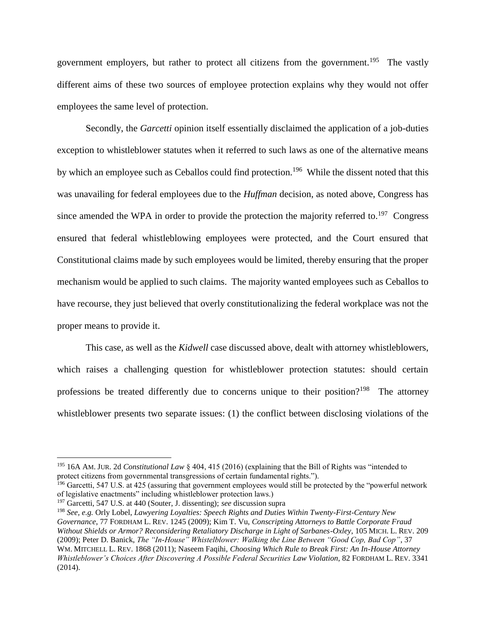government employers, but rather to protect all citizens from the government.<sup>195</sup> The vastly different aims of these two sources of employee protection explains why they would not offer employees the same level of protection.

Secondly, the *Garcetti* opinion itself essentially disclaimed the application of a job-duties exception to whistleblower statutes when it referred to such laws as one of the alternative means by which an employee such as Ceballos could find protection.<sup>196</sup> While the dissent noted that this was unavailing for federal employees due to the *Huffman* decision, as noted above, Congress has since amended the WPA in order to provide the protection the majority referred to.<sup>197</sup> Congress ensured that federal whistleblowing employees were protected, and the Court ensured that Constitutional claims made by such employees would be limited, thereby ensuring that the proper mechanism would be applied to such claims. The majority wanted employees such as Ceballos to have recourse, they just believed that overly constitutionalizing the federal workplace was not the proper means to provide it.

This case, as well as the *Kidwell* case discussed above, dealt with attorney whistleblowers, which raises a challenging question for whistleblower protection statutes: should certain professions be treated differently due to concerns unique to their position?<sup>198</sup> The attorney whistleblower presents two separate issues: (1) the conflict between disclosing violations of the

<sup>195</sup> 16A AM. JUR. 2d *Constitutional Law* § 404, 415 (2016) (explaining that the Bill of Rights was "intended to protect citizens from governmental transgressions of certain fundamental rights.").

 $196$  Garcetti, 547 U.S. at 425 (assuring that government employees would still be protected by the "powerful network" of legislative enactments" including whistleblower protection laws.)

<sup>197</sup> Garcetti, 547 U.S. at 440 (Souter, J. dissenting); *see* discussion supra

<sup>198</sup> *See, e.g.* Orly Lobel, *Lawyering Loyalties: Speech Rights and Duties Within Twenty-First-Century New Governance*, 77 FORDHAM L. REV. 1245 (2009); Kim T. Vu, *Conscripting Attorneys to Battle Corporate Fraud Without Shields or Armor? Reconsidering Retaliatory Discharge in Light of Sarbanes-Oxley*, 105 MICH. L. REV. 209 (2009); Peter D. Banick, *The "In-House" Whistelblower: Walking the Line Between "Good Cop, Bad Cop"*, 37 WM. MITCHELL L. REV. 1868 (2011); Naseem Faqihi, *Choosing Which Rule to Break First: An In-House Attorney Whistleblower's Choices After Discovering A Possible Federal Securities Law Violation*, 82 FORDHAM L. REV. 3341 (2014).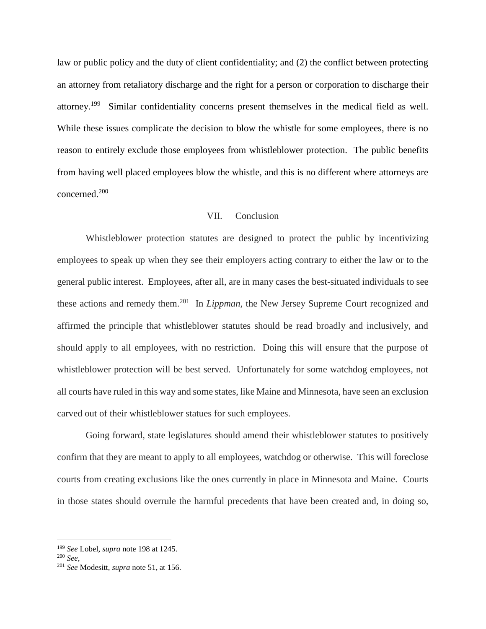law or public policy and the duty of client confidentiality; and (2) the conflict between protecting an attorney from retaliatory discharge and the right for a person or corporation to discharge their attorney.<sup>199</sup> Similar confidentiality concerns present themselves in the medical field as well. While these issues complicate the decision to blow the whistle for some employees, there is no reason to entirely exclude those employees from whistleblower protection. The public benefits from having well placed employees blow the whistle, and this is no different where attorneys are concerned.<sup>200</sup>

# VII. Conclusion

Whistleblower protection statutes are designed to protect the public by incentivizing employees to speak up when they see their employers acting contrary to either the law or to the general public interest. Employees, after all, are in many cases the best-situated individuals to see these actions and remedy them.<sup>201</sup> In *Lippman*, the New Jersey Supreme Court recognized and affirmed the principle that whistleblower statutes should be read broadly and inclusively, and should apply to all employees, with no restriction. Doing this will ensure that the purpose of whistleblower protection will be best served. Unfortunately for some watchdog employees, not all courts have ruled in this way and some states, like Maine and Minnesota, have seen an exclusion carved out of their whistleblower statues for such employees.

Going forward, state legislatures should amend their whistleblower statutes to positively confirm that they are meant to apply to all employees, watchdog or otherwise. This will foreclose courts from creating exclusions like the ones currently in place in Minnesota and Maine. Courts in those states should overrule the harmful precedents that have been created and, in doing so,

<sup>199</sup> *See* Lobel, *supra* note 198 at 1245.

<sup>200</sup> *See*,

<sup>201</sup> *See* Modesitt, *supra* note 51, at 156.